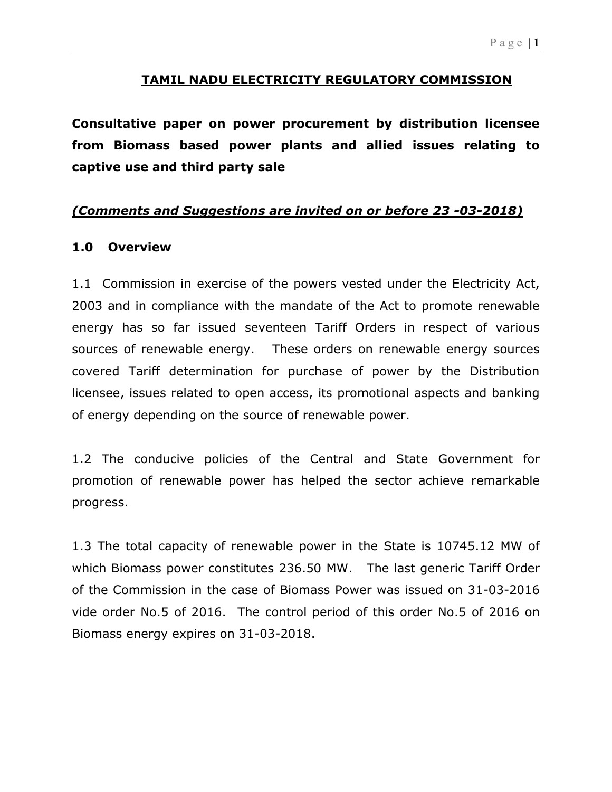#### P a g e  $|1$

## TAMIL NADU ELECTRICITY REGULATORY COMMISSION

Consultative paper on power procurement by distribution licensee from Biomass based power plants and allied issues relating to captive use and third party sale

## (Comments and Suggestions are invited on or before 23 -03-2018)

## 1.0 Overview

1.1 Commission in exercise of the powers vested under the Electricity Act, 2003 and in compliance with the mandate of the Act to promote renewable energy has so far issued seventeen Tariff Orders in respect of various sources of renewable energy. These orders on renewable energy sources covered Tariff determination for purchase of power by the Distribution licensee, issues related to open access, its promotional aspects and banking of energy depending on the source of renewable power.

1.2 The conducive policies of the Central and State Government for promotion of renewable power has helped the sector achieve remarkable progress.

1.3 The total capacity of renewable power in the State is 10745.12 MW of which Biomass power constitutes 236.50 MW. The last generic Tariff Order of the Commission in the case of Biomass Power was issued on 31-03-2016 vide order No.5 of 2016. The control period of this order No.5 of 2016 on Biomass energy expires on 31-03-2018.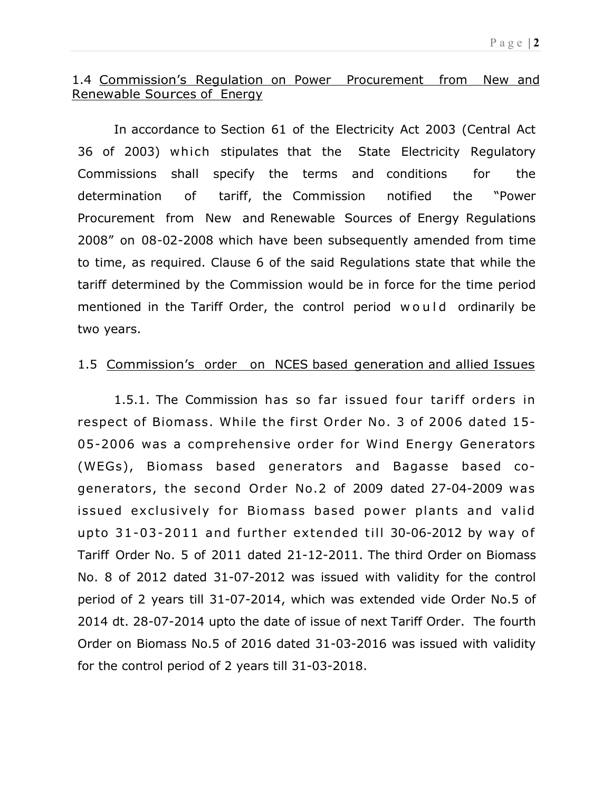## 1.4 Commission's Regulation on Power Procurement from New and Renewable Sources of Energy

In accordance to Section 61 of the Electricity Act 2003 (Central Act 36 of 2003) which stipulates that the State Electricity Regulatory Commissions shall specify the terms and conditions for the determination of tariff, the Commission notified the "Power Procurement from New and Renewable Sources of Energy Regulations 2008" on 08-02-2008 which have been subsequently amended from time to time, as required. Clause 6 of the said Regulations state that while the tariff determined by the Commission would be in force for the time period mentioned in the Tariff Order, the control period would ordinarily be two years.

## 1.5 Commission's order on NCES based generation and allied Issues

1.5.1. The Commission has so far issued four tariff orders in respect of Biomass. While the first Order No. 3 of 2006 dated 15- 05-2006 was a comprehensive order for Wind Energy Generators (WEGs), Biomass based generators and Bagasse based cogenerators, the second Order No.2 of 2009 dated 27-04-2009 was issued exclusively for Biomass based power plants and valid upto  $31 - 03 - 2011$  and further extended till 30-06-2012 by way of Tariff Order No. 5 of 2011 dated 21-12-2011. The third Order on Biomass No. 8 of 2012 dated 31-07-2012 was issued with validity for the control period of 2 years till 31-07-2014, which was extended vide Order No.5 of 2014 dt. 28-07-2014 upto the date of issue of next Tariff Order. The fourth Order on Biomass No.5 of 2016 dated 31-03-2016 was issued with validity for the control period of 2 years till 31-03-2018.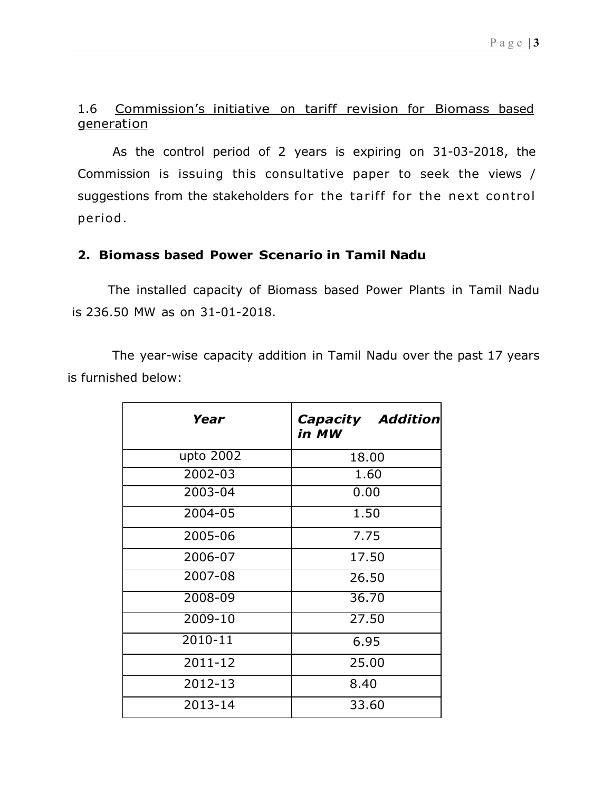## 1.6 Commission's initiative on tariff revision for Biomass based generation

As the control period of 2 years is expiring on 31-03-2018, the Commission is issuing this consultative paper to seek the views / suggestions from the stakeholders for the tariff for the next control period .

## 2. Biomass based Power Scenario in Tamil Nadu

 The installed capacity of Biomass based Power Plants in Tamil Nadu is 236.50 MW as on 31-01-2018.

The year-wise capacity addition in Tamil Nadu over the past 17 years is furnished below:

| Year      | <b>Capacity Addition</b><br>in MW |  |  |
|-----------|-----------------------------------|--|--|
| upto 2002 | 18.00                             |  |  |
| 2002-03   | 1.60                              |  |  |
| 2003-04   | 0.00                              |  |  |
| 2004-05   | 1.50                              |  |  |
| 2005-06   | 7.75                              |  |  |
| 2006-07   | 17.50                             |  |  |
| 2007-08   | 26.50                             |  |  |
| 2008-09   | 36.70                             |  |  |
| 2009-10   | 27.50                             |  |  |
| 2010-11   | 6.95                              |  |  |
| 2011-12   | 25.00                             |  |  |
| 2012-13   | 8.40                              |  |  |
| 2013-14   | 33.60                             |  |  |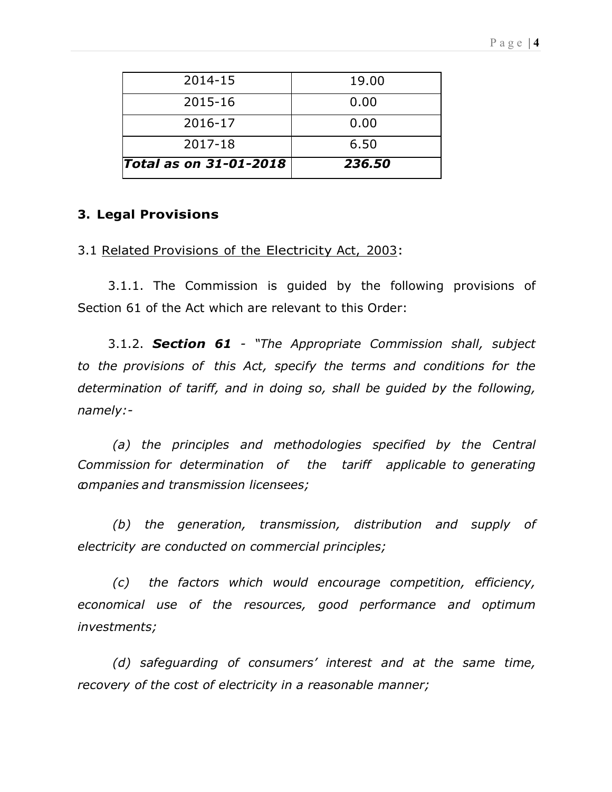| 6.50  |  |
|-------|--|
|       |  |
| 0.00  |  |
| 0.00  |  |
| 19.00 |  |
|       |  |

#### 3. Legal Provisions

#### 3.1 Related Provisions of the Electricity Act, 2003:

3.1.1. The Commission is guided by the following provisions of Section 61 of the Act which are relevant to this Order:

3.1.2. Section 61 - "The Appropriate Commission shall, subject to the provisions of this Act, specify the terms and conditions for the determination of tariff, and in doing so, shall be guided by the following, namely:-

(a) the principles and methodologies specified by the Central Commission for determination of the tariff applicable to generating companies and transmission licensees;

(b) the generation, transmission, distribution and supply of electricity are conducted on commercial principles;

(c) the factors which would encourage competition, efficiency, economical use of the resources, good performance and optimum investments;

(d) safeguarding of consumers' interest and at the same time, recovery of the cost of electricity in a reasonable manner;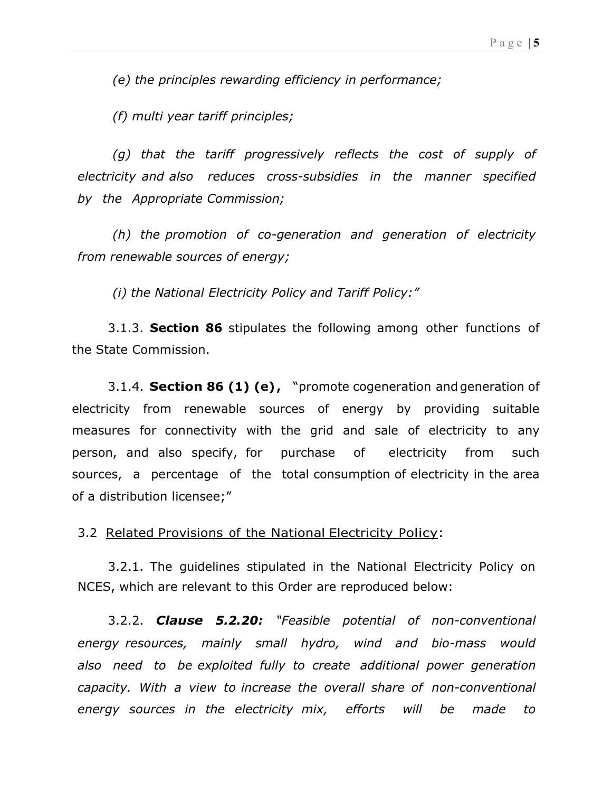(e) the principles rewarding efficiency in performance;

(f) multi year tariff principles;

(g) that the tariff progressively reflects the cost of supply of electricity and also reduces cross-subsidies in the manner specified by the Appropriate Commission;

(h) the promotion of co-generation and generation of electricity from renewable sources of energy;

(i) the National Electricity Policy and Tariff Policy:"

3.1.3. **Section 86** stipulates the following among other functions of the State Commission.

3.1.4. Section 86 (1) (e), "promote cogeneration and generation of electricity from renewable sources of energy by providing suitable measures for connectivity with the grid and sale of electricity to any person, and also specify, for purchase of electricity from such sources, a percentage of the total consumption of electricity in the area of a distribution licensee;"

#### 3.2 Related Provisions of the National Electricity Policy:

3.2.1. The guidelines stipulated in the National Electricity Policy on NCES, which are relevant to this Order are reproduced below:

3.2.2. **Clause 5.2.20:** "Feasible potential of non-conventional energy resources, mainly small hydro, wind and bio-mass would also need to be exploited fully to create additional power generation capacity. With a view to increase the overall share of non-conventional energy sources in the electricity mix, efforts will be made to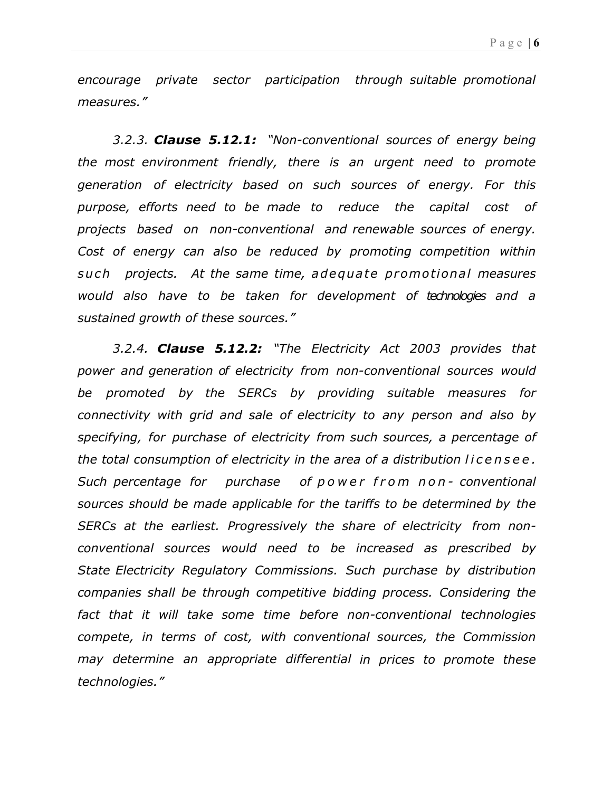encourage private sector participation through suitable promotional measures."

3.2.3. **Clause 5.12.1:** "Non-conventional sources of energy being the most environment friendly, there is an urgent need to promote generation of electricity based on such sources of energy. For this purpose, efforts need to be made to reduce the capital cost of projects based on non-conventional and renewable sources of energy. Cost of energy can also be reduced by promoting competition within such projects. At the same time, a de quate promotional measures would also have to be taken for development of technologies and a sustained growth of these sources."

3.2.4. **Clause 5.12.2:** "The Electricity Act 2003 provides that power and generation of electricity from non-conventional sources would be promoted by the SERCs by providing suitable measures for connectivity with grid and sale of electricity to any person and also by specifying, for purchase of electricity from such sources, a percentage of the total consumption of electricity in the area of a distribution licensee. Such percentage for purchase of p o w e r f r o m n o n - conventional sources should be made applicable for the tariffs to be determined by the SERCs at the earliest. Progressively the share of electricity from nonconventional sources would need to be increased as prescribed by State Electricity Regulatory Commissions. Such purchase by distribution companies shall be through competitive bidding process. Considering the fact that it will take some time before non-conventional technologies compete, in terms of cost, with conventional sources, the Commission may determine an appropriate differential in prices to promote these technologies."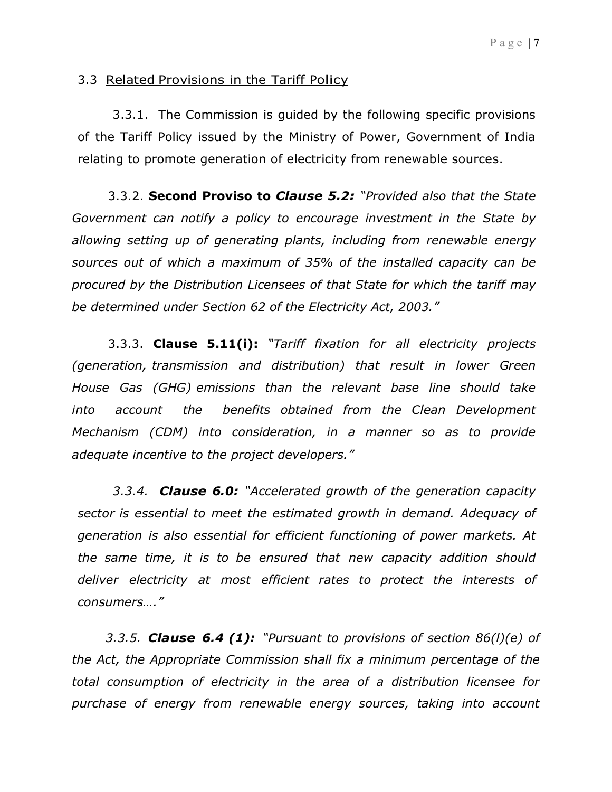## 3.3 Related Provisions in the Tariff Policy

3.3.1. The Commission is guided by the following specific provisions of the Tariff Policy issued by the Ministry of Power, Government of India relating to promote generation of electricity from renewable sources.

3.3.2. Second Proviso to Clause 5.2: "Provided also that the State Government can notify a policy to encourage investment in the State by allowing setting up of generating plants, including from renewable energy sources out of which a maximum of 35% of the installed capacity can be procured by the Distribution Licensees of that State for which the tariff may be determined under Section 62 of the Electricity Act, 2003."

3.3.3. Clause 5.11(i): "Tariff fixation for all electricity projects (generation, transmission and distribution) that result in lower Green House Gas (GHG) emissions than the relevant base line should take into account the benefits obtained from the Clean Development Mechanism (CDM) into consideration, in a manner so as to provide adequate incentive to the project developers."

3.3.4. **Clause 6.0:** "Accelerated growth of the generation capacity sector is essential to meet the estimated growth in demand. Adequacy of generation is also essential for efficient functioning of power markets. At the same time, it is to be ensured that new capacity addition should deliver electricity at most efficient rates to protect the interests of consumers…."

3.3.5. Clause 6.4 (1): "Pursuant to provisions of section  $86(1)(e)$  of the Act, the Appropriate Commission shall fix a minimum percentage of the total consumption of electricity in the area of a distribution licensee for purchase of energy from renewable energy sources, taking into account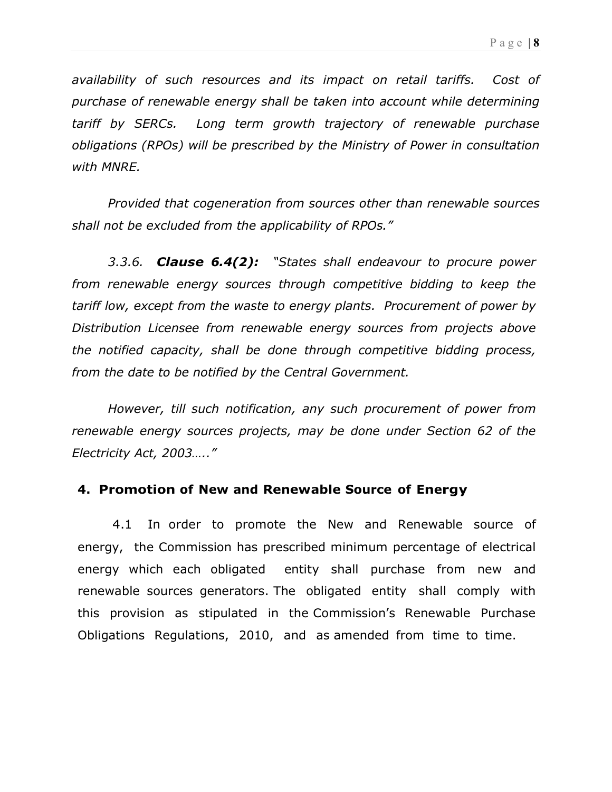availability of such resources and its impact on retail tariffs. Cost of purchase of renewable energy shall be taken into account while determining tariff by SERCs. Long term growth trajectory of renewable purchase obligations (RPOs) will be prescribed by the Ministry of Power in consultation with MNRE.

Provided that cogeneration from sources other than renewable sources shall not be excluded from the applicability of RPOs."

3.3.6. **Clause 6.4(2):** "States shall endeavour to procure power from renewable energy sources through competitive bidding to keep the tariff low, except from the waste to energy plants. Procurement of power by Distribution Licensee from renewable energy sources from projects above the notified capacity, shall be done through competitive bidding process, from the date to be notified by the Central Government.

However, till such notification, any such procurement of power from renewable energy sources projects, may be done under Section 62 of the Electricity Act, 2003….."

## 4. Promotion of New and Renewable Source of Energy

4.1 In order to promote the New and Renewable source of energy, the Commission has prescribed minimum percentage of electrical energy which each obligated entity shall purchase from new and renewable sources generators. The obligated entity shall comply with this provision as stipulated in the Commission's Renewable Purchase Obligations Regulations, 2010, and as amended from time to time.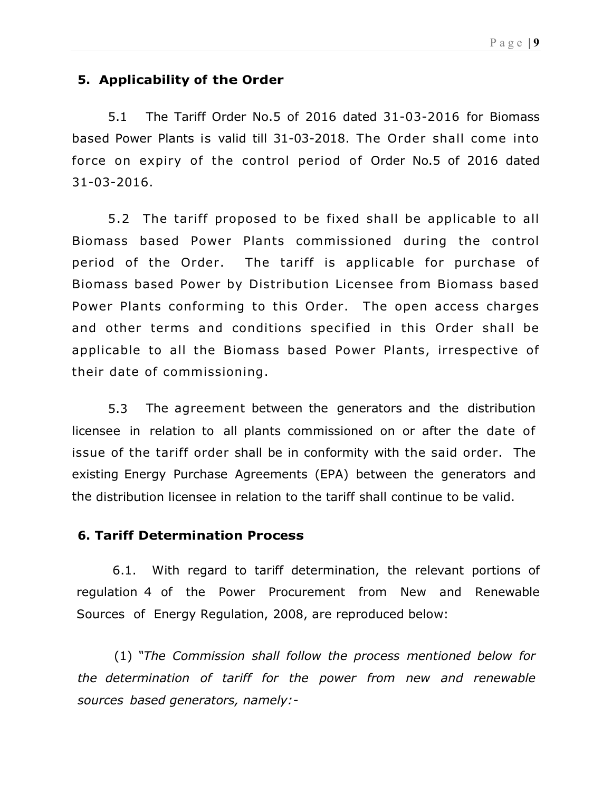## 5. Applicability of the Order

5.1 The Tariff Order No.5 of 2016 dated 31-03-2016 for Biomass based Power Plants is valid till 31-03-2018. The Order shall come into force on expiry of the control period of Order No.5 of 2016 dated 31-03-2016.

5.2 The tariff proposed to be fixed shall be applicable to all Biomass based Power Plants commissioned during the control period of the Order. The tariff is applicable for purchase of Biomass based Power by Distribution Licensee from Biomass based Power Plants conforming to this Order. The open access charges and other terms and conditions specified in this Order shall be applicable to all the Biomass based Power Plants, irrespective of their date of commissioning.

5.3 The agreement between the generators and the distribution licensee in relation to all plants commissioned on or after the date of issue of the tariff order shall be in conformity with the said order. The existing Energy Purchase Agreements (EPA) between the generators and the distribution licensee in relation to the tariff shall continue to be valid.

#### 6. Tariff Determination Process

6.1. With regard to tariff determination, the relevant portions of regulation 4 of the Power Procurement from New and Renewable Sources of Energy Regulation, 2008, are reproduced below:

(1) "The Commission shall follow the process mentioned below for the determination of tariff for the power from new and renewable sources based generators, namely:-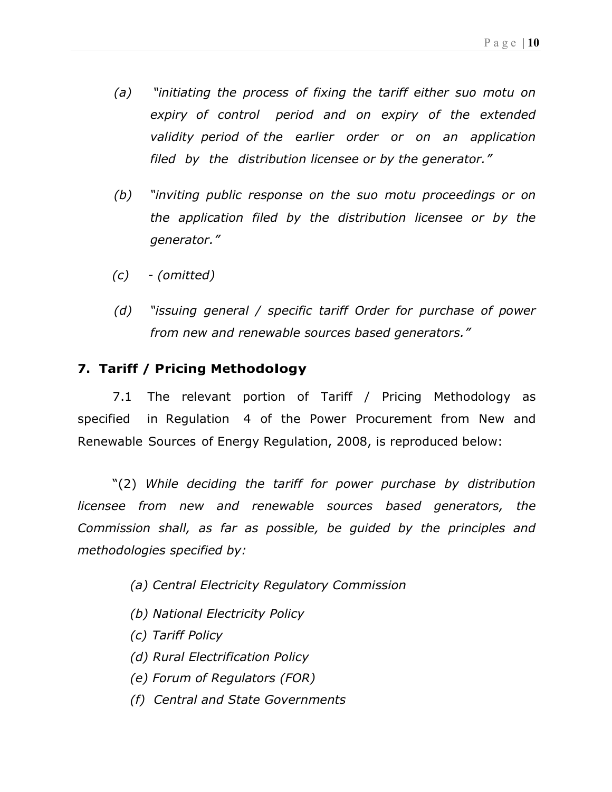- (a) "initiating the process of fixing the tariff either suo motu on expiry of control period and on expiry of the extended validity period of the earlier order or on an application filed by the distribution licensee or by the generator."
- (b) "inviting public response on the suo motu proceedings or on the application filed by the distribution licensee or by the generator."
- $(c)$  (omitted)
- (d) "issuing general / specific tariff Order for purchase of power from new and renewable sources based generators."

## 7. Tariff / Pricing Methodology

7.1 The relevant portion of Tariff / Pricing Methodology as specified in Regulation 4 of the Power Procurement from New and Renewable Sources of Energy Regulation, 2008, is reproduced below:

"(2) While deciding the tariff for power purchase by distribution licensee from new and renewable sources based generators, the Commission shall, as far as possible, be guided by the principles and methodologies specified by:

- (a) Central Electricity Regulatory Commission
- (b) National Electricity Policy
- (c) Tariff Policy
- (d) Rural Electrification Policy
- (e) Forum of Regulators (FOR)
- (f) Central and State Governments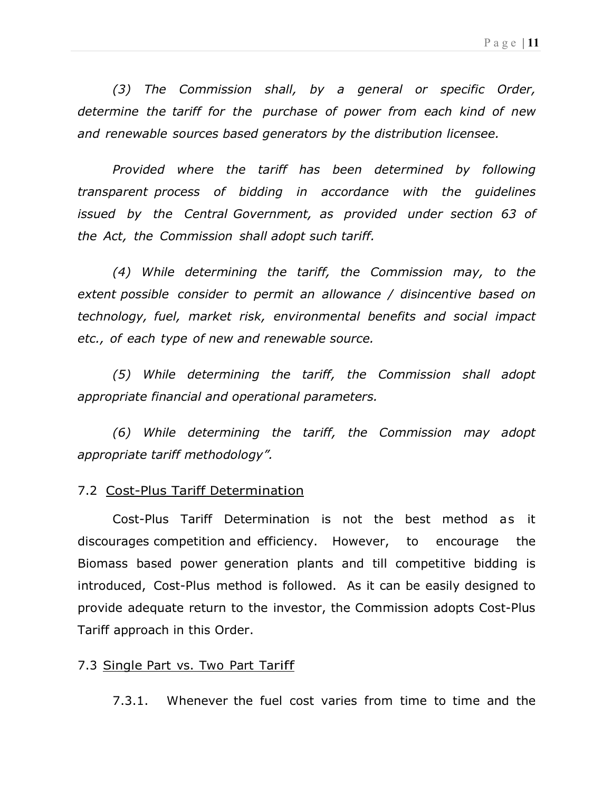(3) The Commission shall, by a general or specific Order, determine the tariff for the purchase of power from each kind of new and renewable sources based generators by the distribution licensee.

Provided where the tariff has been determined by following transparent process of bidding in accordance with the guidelines issued by the Central Government, as provided under section 63 of the Act, the Commission shall adopt such tariff.

(4) While determining the tariff, the Commission may, to the extent possible consider to permit an allowance / disincentive based on technology, fuel, market risk, environmental benefits and social impact etc., of each type of new and renewable source.

(5) While determining the tariff, the Commission shall adopt appropriate financial and operational parameters.

(6) While determining the tariff, the Commission may adopt appropriate tariff methodology".

#### 7.2 Cost-Plus Tariff Determination

Cost-Plus Tariff Determination is not the best method as it discourages competition and efficiency. However, to encourage the Biomass based power generation plants and till competitive bidding is introduced, Cost-Plus method is followed. As it can be easily designed to provide adequate return to the investor, the Commission adopts Cost-Plus Tariff approach in this Order.

#### 7.3 Single Part vs. Two Part Tariff

7.3.1. Whenever the fuel cost varies from time to time and the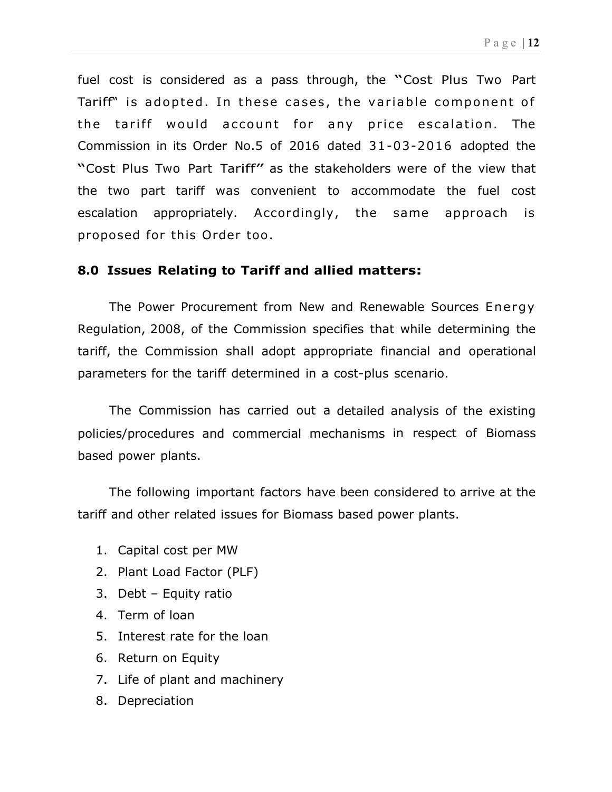fuel cost is considered as a pass through, the "Cost Plus Two Part Tariff" is adopted. In these cases, the variable component of the tariff would account for any price escalation. The Commission in its Order No.5 of 2016 dated 31-03-2016 adopted the "Cost Plus Two Part Tariff" as the stakeholders were of the view that the two part tariff was convenient to accommodate the fuel cost escalation appropriately. Accordingly, the same approach is proposed for this Order too .

## 8.0 Issues Relating to Tariff and allied matters:

The Power Procurement from New and Renewable Sources Energy Regulation, 2008, of the Commission specifies that while determining the tariff, the Commission shall adopt appropriate financial and operational parameters for the tariff determined in a cost-plus scenario.

The Commission has carried out a detailed analysis of the existing policies/procedures and commercial mechanisms in respect of Biomass based power plants.

The following important factors have been considered to arrive at the tariff and other related issues for Biomass based power plants.

- 1. Capital cost per MW
- 2. Plant Load Factor (PLF)
- 3. Debt Equity ratio
- 4. Term of loan
- 5. Interest rate for the loan
- 6. Return on Equity
- 7. Life of plant and machinery
- 8. Depreciation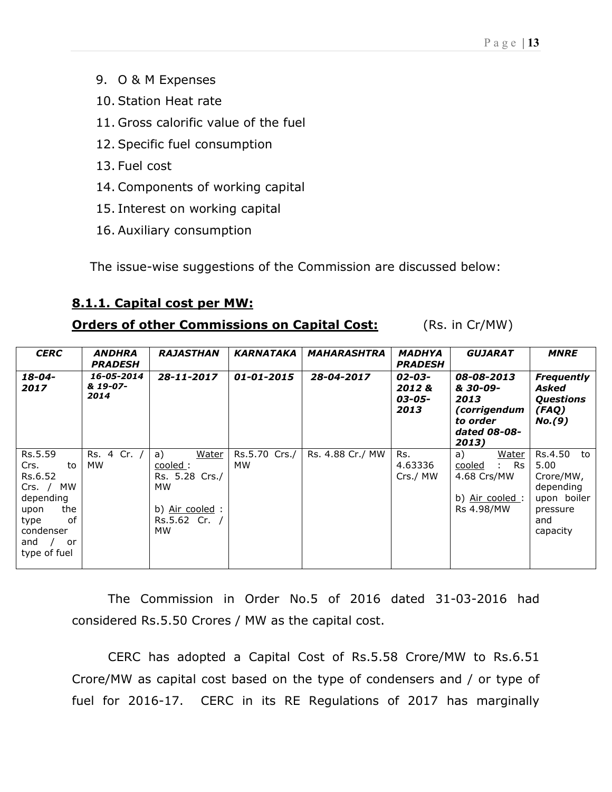- 9. O & M Expenses
- 10. Station Heat rate
- 11. Gross calorific value of the fuel
- 12. Specific fuel consumption
- 13. Fuel cost
- 14. Components of working capital
- 15. Interest on working capital
- 16. Auxiliary consumption

The issue-wise suggestions of the Commission are discussed below:

## 8.1.1. Capital cost per MW:

## **Orders of other Commissions on Capital Cost:** (Rs. in Cr/MW)

| <b>CERC</b>                                                                                                                                   | <b>ANDHRA</b><br><b>PRADESH</b> | <b>RAJASTHAN</b>                                                                           | <b>KARNATAKA</b>    | <b>MAHARASHTRA</b> | <b>MADHYA</b><br><b>PRADESH</b>   | <b>GUJARAT</b>                                                                       | <b>MNRE</b>                                                                                   |
|-----------------------------------------------------------------------------------------------------------------------------------------------|---------------------------------|--------------------------------------------------------------------------------------------|---------------------|--------------------|-----------------------------------|--------------------------------------------------------------------------------------|-----------------------------------------------------------------------------------------------|
| $18 - 04 -$<br>2017                                                                                                                           | 16-05-2014<br>& 19-07-<br>2014  | 28-11-2017                                                                                 | 01-01-2015          | 28-04-2017         | 02-03-<br>2012&<br>03-05-<br>2013 | 08-08-2013<br>& 30-09-<br>2013<br>(corrigendum<br>to order<br>dated 08-08-<br>2013)  | <b>Frequently</b><br>Asked<br><b>Questions</b><br>(FAQ)<br>No. (9)                            |
| Rs.5.59<br>Crs.<br>to<br>Rs.6.52<br><b>MW</b><br>$Crs.$ /<br>depending<br>the<br>upon<br>Ωf<br>type<br>condenser<br>and<br>or<br>type of fuel | Rs. 4 Cr. /<br>MW.              | a)<br>Water<br>cooled:<br>Rs. 5.28 Crs./<br>MW<br>b) Air cooled :<br>$Rs.5.62$ Cr. /<br>МW | Rs.5.70 Crs./<br>МW | Rs. 4.88 Cr./ MW   | Rs.<br>4.63336<br>Crs./ MW        | a)<br>Water<br>: Rs<br>cooled<br>4.68 Crs/MW<br>b) <u>Air cooled</u> :<br>Rs 4.98/MW | Rs.4.50<br>to<br>5.00<br>Crore/MW,<br>depending<br>upon boiler<br>pressure<br>and<br>capacity |

The Commission in Order No.5 of 2016 dated 31-03-2016 had considered Rs.5.50 Crores / MW as the capital cost.

CERC has adopted a Capital Cost of Rs.5.58 Crore/MW to Rs.6.51 Crore/MW as capital cost based on the type of condensers and / or type of fuel for 2016-17. CERC in its RE Regulations of 2017 has marginally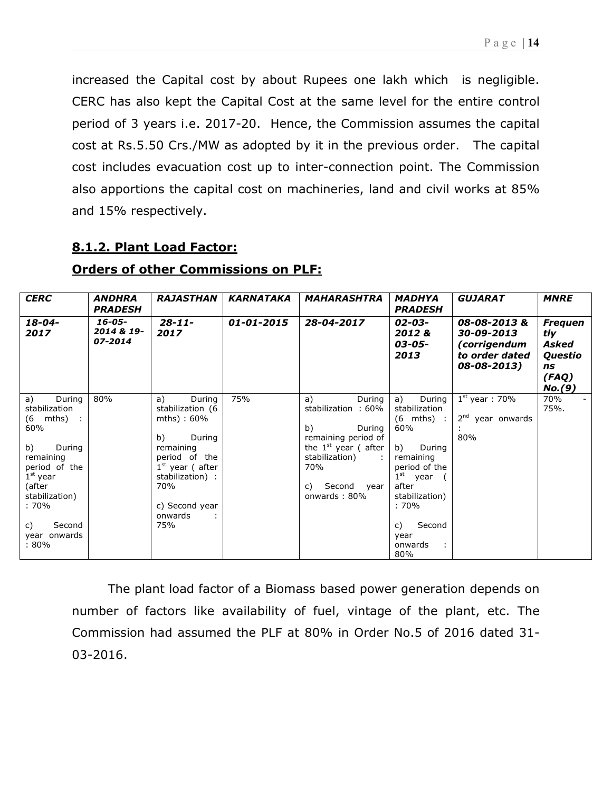increased the Capital cost by about Rupees one lakh which is negligible. CERC has also kept the Capital Cost at the same level for the entire control period of 3 years i.e. 2017-20. Hence, the Commission assumes the capital cost at Rs.5.50 Crs./MW as adopted by it in the previous order. The capital cost includes evacuation cost up to inter-connection point. The Commission also apportions the capital cost on machineries, land and civil works at 85% and 15% respectively.

## 8.1.2. Plant Load Factor:

| <b>CERC</b>                                                                                                                                                                                         | <b>ANDHRA</b><br><b>PRADESH</b>      | <b>RAJASTHAN</b>                                                                                                                                                                            | <b>KARNATAKA</b> | <b>MAHARASHTRA</b>                                                                                                                                                  | <b>MADHYA</b><br><b>PRADESH</b>                                                                                                                                                                          | <b>GUJARAT</b>                                                             | <b>MNRE</b>                                                        |
|-----------------------------------------------------------------------------------------------------------------------------------------------------------------------------------------------------|--------------------------------------|---------------------------------------------------------------------------------------------------------------------------------------------------------------------------------------------|------------------|---------------------------------------------------------------------------------------------------------------------------------------------------------------------|----------------------------------------------------------------------------------------------------------------------------------------------------------------------------------------------------------|----------------------------------------------------------------------------|--------------------------------------------------------------------|
| $18 - 04 -$<br>2017                                                                                                                                                                                 | $16 - 05 -$<br>2014 & 19-<br>07-2014 | $28 - 11 -$<br>2017                                                                                                                                                                         | $01 - 01 - 2015$ | 28-04-2017                                                                                                                                                          | $02 - 03 -$<br>2012&<br>03-05-<br>2013                                                                                                                                                                   | 08-08-2013&<br>30-09-2013<br>(corrigendum<br>to order dated<br>08-08-2013) | <b>Freguen</b><br>tly<br>Asked<br>Questio<br>ns<br>(FAQ)<br>No.(9) |
| During<br>a)<br>stabilization<br>$(6 \t mths)$ :<br>60%<br>b)<br>During<br>remaining<br>period of the<br>$1st$ year<br>(after<br>stabilization)<br>: 70%<br>Second<br>C)<br>year onwards<br>$:80\%$ | 80%                                  | During<br>a)<br>stabilization (6<br>$mths) : 60\%$<br>b)<br>During<br>remaining<br>period of the<br>$1st$ year (after<br>stabilization) :<br><b>70%</b><br>c) Second year<br>onwards<br>75% | 75%              | During<br>a)<br>stabilization: 60%<br>b)<br>During<br>remaining period of<br>the $1st$ year (after<br>stabilization)<br>70%<br>Second<br>C)<br>year<br>onwards: 80% | a)<br>During<br>stabilization<br>$(6 \text{ mths})$ :<br>60%<br>b)<br>During<br>remaining<br>period of the<br>$1st$ year<br>after<br>stabilization)<br>$:70\%$<br>Second<br>C)<br>year<br>onwards<br>80% | $1st$ year: 70%<br>$2nd$ year onwards<br>80%                               | 70%<br>75%.                                                        |

## Orders of other Commissions on PLF:

The plant load factor of a Biomass based power generation depends on number of factors like availability of fuel, vintage of the plant, etc. The Commission had assumed the PLF at 80% in Order No.5 of 2016 dated 31- 03-2016.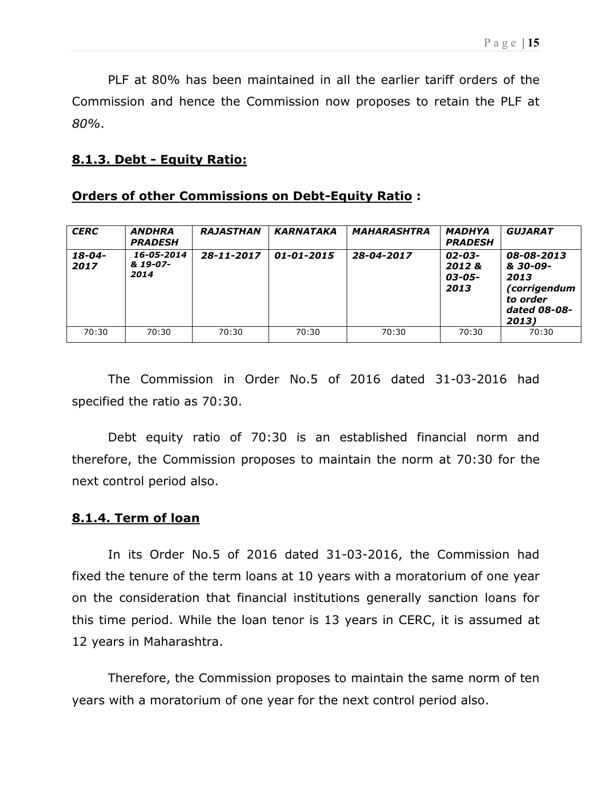PLF at 80% has been maintained in all the earlier tariff orders of the Commission and hence the Commission now proposes to retain the PLF at 80%.

#### 8.1.3. Debt - Equity Ratio:

#### Orders of other Commissions on Debt-Equity Ratio :

| <b>CERC</b>         | <b>ANDHRA</b><br><b>PRADESH</b> | <b>RAJASTHAN</b> | <b>KARNATAKA</b> | <b>MAHARASHTRA</b> | <b>MADHYA</b><br><b>PRADESH</b>   | <b>GUJARAT</b>                                                                      |
|---------------------|---------------------------------|------------------|------------------|--------------------|-----------------------------------|-------------------------------------------------------------------------------------|
| $18 - 04 -$<br>2017 | 16-05-2014<br>& 19-07-<br>2014  | 28-11-2017       | $01 - 01 - 2015$ | 28-04-2017         | 02-03-<br>2012&<br>03-05-<br>2013 | 08-08-2013<br>& 30-09-<br>2013<br>(corrigendum<br>to order<br>dated 08-08-<br>2013) |
| 70:30               | 70:30                           | 70:30            | 70:30            | 70:30              | 70:30                             | 70:30                                                                               |

The Commission in Order No.5 of 2016 dated 31-03-2016 had specified the ratio as 70:30.

 Debt equity ratio of 70:30 is an established financial norm and therefore, the Commission proposes to maintain the norm at 70:30 for the next control period also.

#### 8.1.4. Term of loan

In its Order No.5 of 2016 dated 31-03-2016, the Commission had fixed the tenure of the term loans at 10 years with a moratorium of one year on the consideration that financial institutions generally sanction loans for this time period. While the loan tenor is 13 years in CERC, it is assumed at 12 years in Maharashtra.

Therefore, the Commission proposes to maintain the same norm of ten years with a moratorium of one year for the next control period also.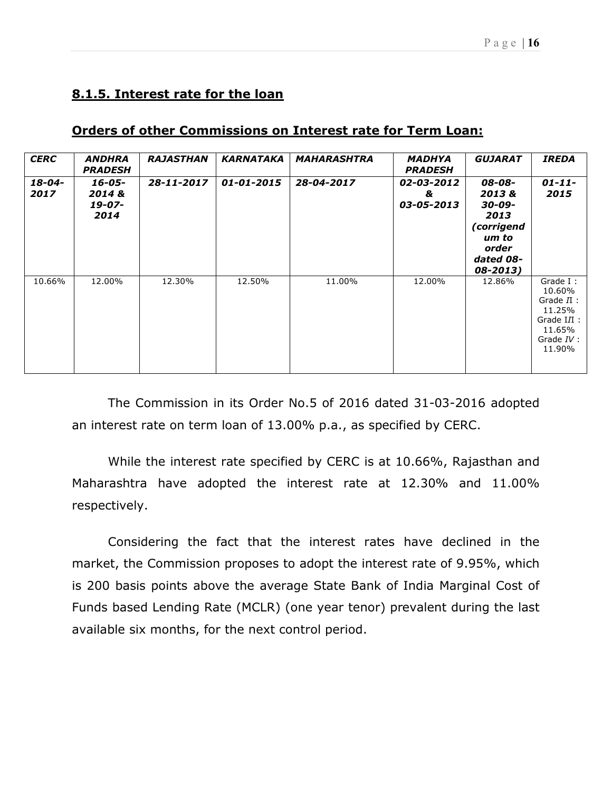## 8.1.5. Interest rate for the loan

| <b>CERC</b>    | <b>ANDHRA</b><br><b>PRADESH</b>    | <b>RAJASTHAN</b> | <b>KARNATAKA</b> | <b>MAHARASHTRA</b> | <b>MADHYA</b><br><b>PRADESH</b> | <b>GUJARAT</b>                                                                             | <b>IREDA</b>                                                                                     |
|----------------|------------------------------------|------------------|------------------|--------------------|---------------------------------|--------------------------------------------------------------------------------------------|--------------------------------------------------------------------------------------------------|
| 18-04-<br>2017 | 16-05-<br>2014 &<br>19-07-<br>2014 | 28-11-2017       | 01-01-2015       | 28-04-2017         | 02-03-2012<br>&<br>03-05-2013   | 08-08-<br>2013&<br>30-09-<br>2013<br>(corrigend<br>um to<br>order<br>dated 08-<br>08-2013) | $01 - 11 -$<br>2015                                                                              |
| 10.66%         | 12.00%                             | 12.30%           | 12.50%           | 11.00%             | 12.00%                          | 12.86%                                                                                     | Grade I:<br>10.60%<br>Grade $II$ :<br>11.25%<br>Grade $III$ :<br>11.65%<br>Grade $IV:$<br>11.90% |

## Orders of other Commissions on Interest rate for Term Loan:

The Commission in its Order No.5 of 2016 dated 31-03-2016 adopted an interest rate on term loan of 13.00% p.a., as specified by CERC.

While the interest rate specified by CERC is at 10.66%, Rajasthan and Maharashtra have adopted the interest rate at 12.30% and 11.00% respectively.

Considering the fact that the interest rates have declined in the market, the Commission proposes to adopt the interest rate of 9.95%, which is 200 basis points above the average State Bank of India Marginal Cost of Funds based Lending Rate (MCLR) (one year tenor) prevalent during the last available six months, for the next control period.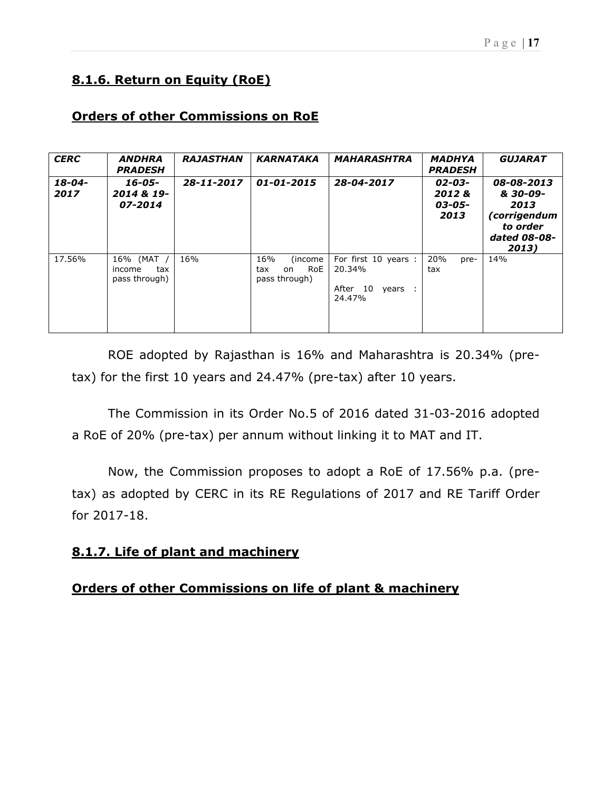# 8.1.6. Return on Equity (RoE)

## Orders of other Commissions on RoE

| <b>CERC</b>         | <b>ANDHRA</b><br><b>PRADESH</b>              | <b>RAJASTHAN</b> | <b>KARNATAKA</b>                                     | <b>MAHARASHTRA</b>                                            | <b>MADHYA</b><br><b>PRADESH</b>   | <b>GUJARAT</b>                                                                      |
|---------------------|----------------------------------------------|------------------|------------------------------------------------------|---------------------------------------------------------------|-----------------------------------|-------------------------------------------------------------------------------------|
| $18 - 04 -$<br>2017 | 16-05-<br>2014 & 19-<br>07-2014              | 28-11-2017       | $01 - 01 - 2015$                                     | 28-04-2017                                                    | 02-03-<br>2012&<br>03-05-<br>2013 | 08-08-2013<br>& 30-09-<br>2013<br>(corrigendum<br>to order<br>dated 08-08-<br>2013) |
| 17.56%              | 16% (MAT /<br>tax<br>income<br>pass through) | 16%              | 16%<br>(income)<br>RoE<br>tax<br>on<br>pass through) | For first 10 years :<br>20.34%<br>After 10<br>years<br>24.47% | 20%<br>pre-<br>tax                | 14%                                                                                 |

ROE adopted by Rajasthan is 16% and Maharashtra is 20.34% (pretax) for the first 10 years and 24.47% (pre-tax) after 10 years.

The Commission in its Order No.5 of 2016 dated 31-03-2016 adopted a RoE of 20% (pre-tax) per annum without linking it to MAT and IT.

Now, the Commission proposes to adopt a RoE of 17.56% p.a. (pretax) as adopted by CERC in its RE Regulations of 2017 and RE Tariff Order for 2017-18.

# 8.1.7. Life of plant and machinery

## Orders of other Commissions on life of plant & machinery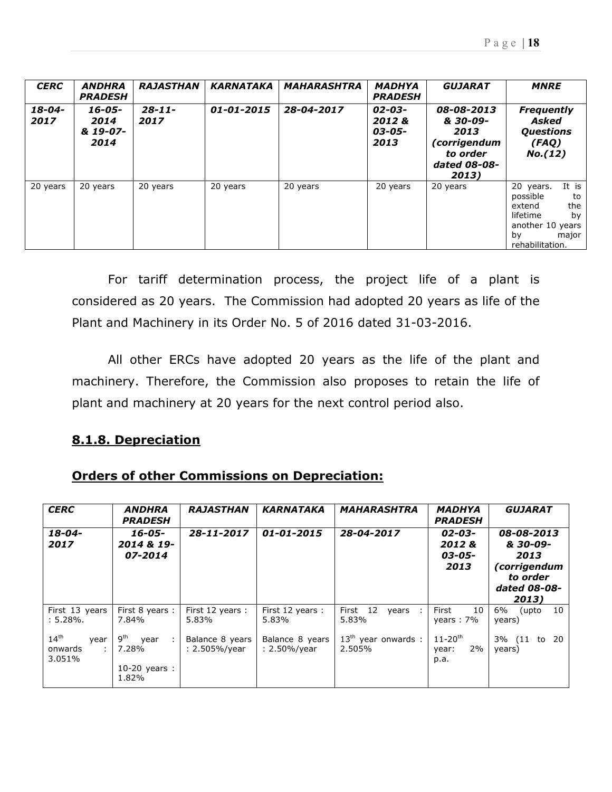| <b>CERC</b>         | <b>ANDHRA</b><br><b>PRADESH</b>    | <b>RAJASTHAN</b>    | <b>KARNATAKA</b> | <b>MAHARASHTRA</b> | <b>MADHYA</b><br><b>PRADESH</b>        | <b>GUJARAT</b>                                                                      | <b>MNRE</b>                                                                                                                   |
|---------------------|------------------------------------|---------------------|------------------|--------------------|----------------------------------------|-------------------------------------------------------------------------------------|-------------------------------------------------------------------------------------------------------------------------------|
| $18 - 04 -$<br>2017 | 16-05-<br>2014<br>& 19-07-<br>2014 | $28 - 11 -$<br>2017 | $01 - 01 - 2015$ | 28-04-2017         | $02 - 03 -$<br>2012&<br>03-05-<br>2013 | 08-08-2013<br>& 30-09-<br>2013<br>corrigendum)<br>to order<br>dated 08-08-<br>2013) | <b>Frequently</b><br>Asked<br><b>Questions</b><br>(FAQ)<br>No. (12)                                                           |
| 20 years            | 20 years                           | 20 years            | 20 years         | 20 years           | 20 years                               | 20 years                                                                            | It is<br>20 years.<br>possible<br>to<br>extend<br>the<br>lifetime<br>by<br>another 10 years<br>major<br>by<br>rehabilitation. |

For tariff determination process, the project life of a plant is considered as 20 years. The Commission had adopted 20 years as life of the Plant and Machinery in its Order No. 5 of 2016 dated 31-03-2016.

All other ERCs have adopted 20 years as the life of the plant and machinery. Therefore, the Commission also proposes to retain the life of plant and machinery at 20 years for the next control period also.

## 8.1.8. Depreciation

# Orders of other Commissions on Depreciation:

| <b>CERC</b>                                        | <b>ANDHRA</b><br><b>PRADESH</b>                                     | <b>RAJASTHAN</b>                     | <b>KARNATAKA</b>                    | <b>MAHARASHTRA</b>              | MADHYA<br><b>PRADESH</b>                       | <b>GUJARAT</b>                                                                      |
|----------------------------------------------------|---------------------------------------------------------------------|--------------------------------------|-------------------------------------|---------------------------------|------------------------------------------------|-------------------------------------------------------------------------------------|
| $18 - 04 -$<br>2017                                | 16-05-<br>2014 & 19-<br>07-2014                                     | 28-11-2017                           | 01-01-2015                          | 28-04-2017                      | 02-03-<br>2012&<br>03-05-<br>2013              | 08-08-2013<br>& 30-09-<br>2013<br>(corrigendum<br>to order<br>dated 08-08-<br>2013) |
| First 13 years<br>:5.28%.                          | First 8 years :<br>7.84%                                            | First 12 years:<br>5.83%             | First 12 years:<br>5.83%            | First 12<br>years<br>5.83%      | First<br>10<br>years: $7\%$                    | 6%<br>10<br>(upto<br>years)                                                         |
| $14^{\text{th}}$<br>year<br>onwards<br>÷<br>3.051% | <b>g</b> <sup>th</sup><br>year<br>7.28%<br>$10-20$ years :<br>1.82% | Balance 8 years<br>$: 2.505\%$ /year | Balance 8 years<br>$: 2.50\%$ /year | $13th$ year onwards :<br>2.505% | $11 - 20$ <sup>th</sup><br>2%<br>year:<br>p.a. | 3% (11<br>- 20<br>to<br>years)                                                      |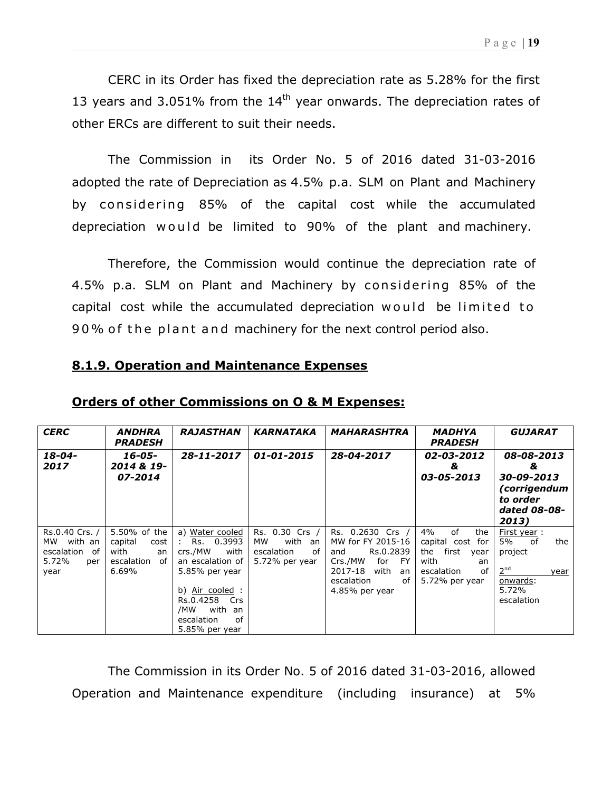CERC in its Order has fixed the depreciation rate as 5.28% for the first 13 years and 3.051% from the  $14<sup>th</sup>$  year onwards. The depreciation rates of other ERCs are different to suit their needs.

The Commission in its Order No. 5 of 2016 dated 31-03-2016 adopted the rate of Depreciation as 4.5% p.a. SLM on Plant and Machinery by considering 85% of the capital cost while the accumulated depreciation would be limited to 90% of the plant and machinery.

Therefore, the Commission would continue the depreciation rate of 4.5% p.a. SLM on Plant and Machinery by considering 85% of the capital cost while the accumulated depreciation would be limited to 90% of the plant and machinery for the next control period also.

| <b>CERC</b>                                                              | <i><b>ANDHRA</b></i><br><b>PRADESH</b>                                       | <b>RAJASTHAN</b>                                                                                                                                                                                                 | <b>KARNATAKA</b>                                                      | <b>MAHARASHTRA</b>                                                                                                                                | <b>MADHYA</b><br><b>PRADESH</b>                                                                                 | <b>GUJARAT</b>                                                                                                 |  |
|--------------------------------------------------------------------------|------------------------------------------------------------------------------|------------------------------------------------------------------------------------------------------------------------------------------------------------------------------------------------------------------|-----------------------------------------------------------------------|---------------------------------------------------------------------------------------------------------------------------------------------------|-----------------------------------------------------------------------------------------------------------------|----------------------------------------------------------------------------------------------------------------|--|
| $18 - 04 -$<br>2017                                                      | 16-05-<br>2014 & 19-<br>07-2014                                              | 28-11-2017                                                                                                                                                                                                       | $01 - 01 - 2015$                                                      | 28-04-2017                                                                                                                                        | 02-03-2012<br>&<br>03-05-2013                                                                                   | 08-08-2013<br>&<br>30-09-2013<br>(corrigendum<br>to order<br>dated 08-08-<br>2013)                             |  |
| Rs.0.40 Crs. /<br>with an<br>мw<br>escalation of<br>5.72%<br>per<br>year | 5.50% of the<br>capital<br>cost<br>with<br>an<br>escalation<br>of l<br>6.69% | a) Water cooled<br>0.3993<br>Rs.<br>$\mathcal{L}$<br>crs./MW<br>with<br>an escalation of<br>5.85% per year<br>b) <u>Air cooled</u> :<br>Rs.0.4258<br>Crs<br>with an<br>/MW<br>of<br>escalation<br>5.85% per year | Rs. 0.30 Crs /<br>with an<br>MW<br>escalation<br>οf<br>5.72% per year | Rs. 0.2630 Crs /<br>MW for FY 2015-16<br>Rs.0.2839<br>and<br>Crs./MW<br>for<br>- FY<br>2017-18 with<br>an<br>escalation<br>оf<br>$4.85%$ per year | 4%<br>of<br>the<br>capital cost for<br>first<br>the<br>year<br>with<br>an<br>escalation<br>οf<br>5.72% per year | First year:<br>5%<br>the<br>of<br>project<br>2 <sup>nd</sup><br>year<br><u>onwards:</u><br>5.72%<br>escalation |  |

8.1.9. Operation and Maintenance Expenses

#### Orders of other Commissions on O & M Expenses:

The Commission in its Order No. 5 of 2016 dated 31-03-2016, allowed Operation and Maintenance expenditure (including insurance) at 5%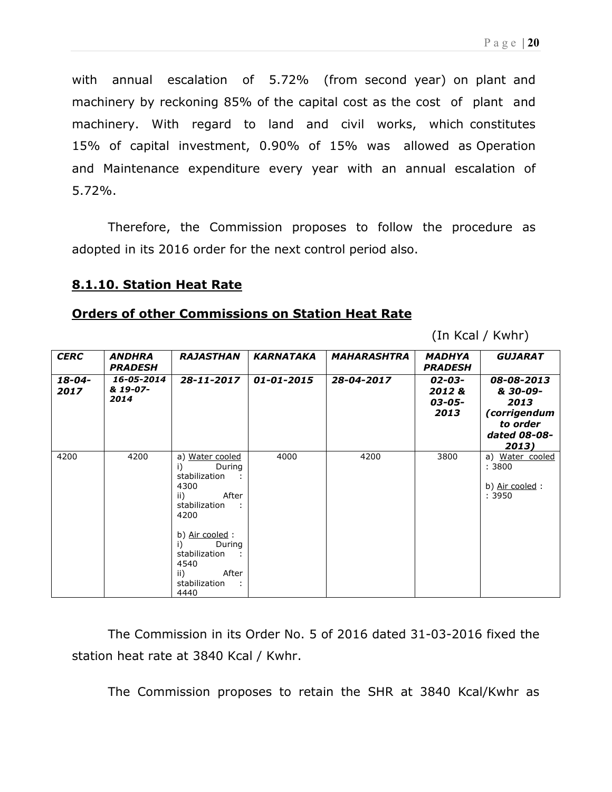with annual escalation of 5.72% (from second year) on plant and machinery by reckoning 85% of the capital cost as the cost of plant and machinery. With regard to land and civil works, which constitutes 15% of capital investment, 0.90% of 15% was allowed as Operation and Maintenance expenditure every year with an annual escalation of 5.72%.

Therefore, the Commission proposes to follow the procedure as adopted in its 2016 order for the next control period also.

#### 8.1.10. Station Heat Rate

#### Orders of other Commissions on Station Heat Rate

(In Kcal / Kwhr)

| <b>CERC</b>    | ANDHRA<br><b>PRADESH</b>       | <b>RAJASTHAN</b>                                                                                                                    | <b>KARNATAKA</b> | MAHARASHTRA | <b>MADHYA</b><br><b>PRADESH</b>   | <b>GUJARAT</b>                                                                      |
|----------------|--------------------------------|-------------------------------------------------------------------------------------------------------------------------------------|------------------|-------------|-----------------------------------|-------------------------------------------------------------------------------------|
| 18-04-<br>2017 | 16-05-2014<br>& 19-07-<br>2014 | 28-11-2017                                                                                                                          | $01 - 01 - 2015$ | 28-04-2017  | 02-03-<br>2012&<br>03-05-<br>2013 | 08-08-2013<br>& 30-09-<br>2013<br>(corrigendum<br>to order<br>dated 08-08-<br>2013) |
| 4200           | 4200                           | a) Water cooled<br>i)<br>During<br>stabilization<br>4300<br>After<br>ii)<br>stabilization<br>4200<br>b) Air cooled:<br>i)<br>During | 4000             | 4200        | 3800                              | a) Water cooled<br>: 3800<br>b) Air cooled:<br>: 3950                               |
|                |                                | stabilization<br>4540<br>After<br>ii)<br>stabilization<br>4440                                                                      |                  |             |                                   |                                                                                     |

The Commission in its Order No. 5 of 2016 dated 31-03-2016 fixed the station heat rate at 3840 Kcal / Kwhr.

The Commission proposes to retain the SHR at 3840 Kcal/Kwhr as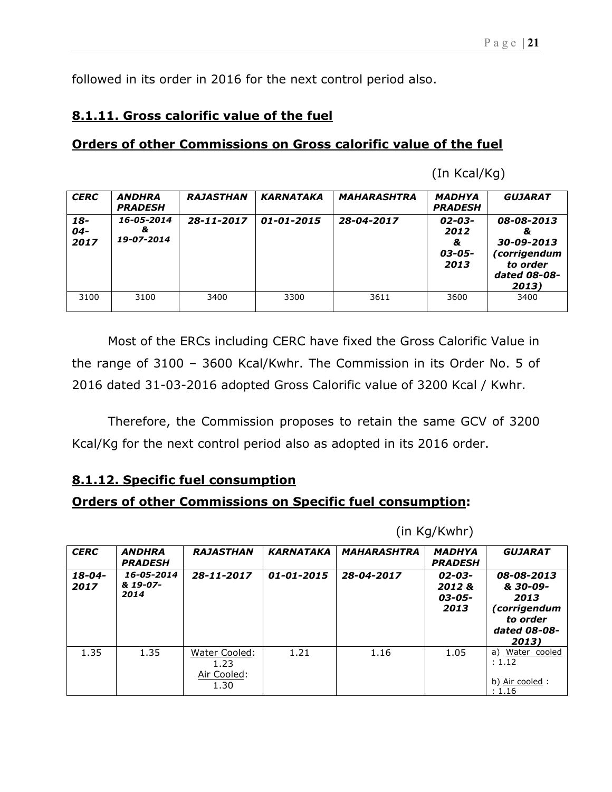followed in its order in 2016 for the next control period also.

# 8.1.11. Gross calorific value of the fuel

## Orders of other Commissions on Gross calorific value of the fuel

(In Kcal/Kg)

| <b>CERC</b>           | <b>ANDHRA</b><br><b>PRADESH</b> | <b>RAJASTHAN</b> | <b>KARNATAKA</b> | <b>MAHARASHTRA</b> | MADHYA<br><b>PRADESH</b>                   | <b>GUJARAT</b>                                                                     |
|-----------------------|---------------------------------|------------------|------------------|--------------------|--------------------------------------------|------------------------------------------------------------------------------------|
| 18-<br>$04 -$<br>2017 | 16-05-2014<br>&.<br>19-07-2014  | 28-11-2017       | $01 - 01 - 2015$ | 28-04-2017         | $02 - 03 -$<br>2012<br>&<br>03-05-<br>2013 | 08-08-2013<br>&<br>30-09-2013<br>(corrigendum<br>to order<br>dated 08-08-<br>2013) |
| 3100                  | 3100                            | 3400             | 3300             | 3611               | 3600                                       | 3400                                                                               |

Most of the ERCs including CERC have fixed the Gross Calorific Value in the range of 3100 – 3600 Kcal/Kwhr. The Commission in its Order No. 5 of 2016 dated 31-03-2016 adopted Gross Calorific value of 3200 Kcal / Kwhr.

Therefore, the Commission proposes to retain the same GCV of 3200 Kcal/Kg for the next control period also as adopted in its 2016 order.

# 8.1.12. Specific fuel consumption

# Orders of other Commissions on Specific fuel consumption:

(in Kg/Kwhr)

| <b>CERC</b>         | <b>ANDHRA</b><br><b>PRADESH</b> | <b>RAJASTHAN</b>                             | <b>KARNATAKA</b> | <b>MAHARASHTRA</b> | <b>MADHYA</b><br><b>PRADESH</b>   | <b>GUJARAT</b>                                                                      |
|---------------------|---------------------------------|----------------------------------------------|------------------|--------------------|-----------------------------------|-------------------------------------------------------------------------------------|
| $18 - 04 -$<br>2017 | 16-05-2014<br>& 19-07-<br>2014  | $28 - 11 - 2017$                             | 01-01-2015       | 28-04-2017         | 02-03-<br>2012&<br>03-05-<br>2013 | 08-08-2013<br>& 30-09-<br>2013<br>(corrigendum<br>to order<br>dated 08-08-<br>2013) |
| 1.35                | 1.35                            | Water Cooled:<br>1.23<br>Air Cooled:<br>1.30 | 1.21             | 1.16               | 1.05                              | Water cooled<br>a)<br>: 1.12<br>b) Air cooled:<br>: 1.16                            |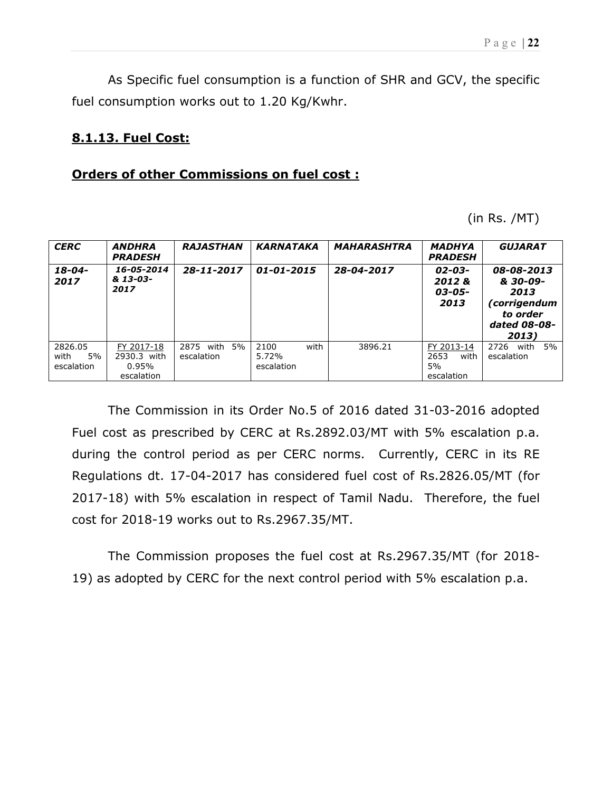As Specific fuel consumption is a function of SHR and GCV, the specific fuel consumption works out to 1.20 Kg/Kwhr.

#### 8.1.13. Fuel Cost:

#### Orders of other Commissions on fuel cost :

(in Rs. /MT)

| <b>CERC</b>                         | <b>RAJASTHAN</b><br><b>ANDHRA</b><br><b>PRADESH</b> |                                  | <b>KARNATAKA</b>                    | <b>MAHARASHTRA</b> | <b>MADHYA</b><br><b>PRADESH</b>                | <b>GUJARAT</b>                                                                      |  |  |  |
|-------------------------------------|-----------------------------------------------------|----------------------------------|-------------------------------------|--------------------|------------------------------------------------|-------------------------------------------------------------------------------------|--|--|--|
| $18 - 04 -$<br>2017                 | 16-05-2014<br>& 13-03-<br>2017                      | $28 - 11 - 2017$                 | 01-01-2015                          | 28-04-2017         | 02-03-<br>2012&<br>03-05-<br>2013              | 08-08-2013<br>& 30-09-<br>2013<br>(corrigendum<br>to order<br>dated 08-08-<br>2013) |  |  |  |
| 2826.05<br>5%<br>with<br>escalation | FY 2017-18<br>2930.3 with<br>$0.95\%$<br>escalation | 2875<br>with<br>5%<br>escalation | with<br>2100<br>5.72%<br>escalation | 3896.21            | FY 2013-14<br>2653<br>with<br>5%<br>escalation | 5%<br>with<br>2726<br>escalation                                                    |  |  |  |

The Commission in its Order No.5 of 2016 dated 31-03-2016 adopted Fuel cost as prescribed by CERC at Rs.2892.03/MT with 5% escalation p.a. during the control period as per CERC norms. Currently, CERC in its RE Regulations dt. 17-04-2017 has considered fuel cost of Rs.2826.05/MT (for 2017-18) with 5% escalation in respect of Tamil Nadu. Therefore, the fuel cost for 2018-19 works out to Rs.2967.35/MT.

The Commission proposes the fuel cost at Rs.2967.35/MT (for 2018- 19) as adopted by CERC for the next control period with 5% escalation p.a.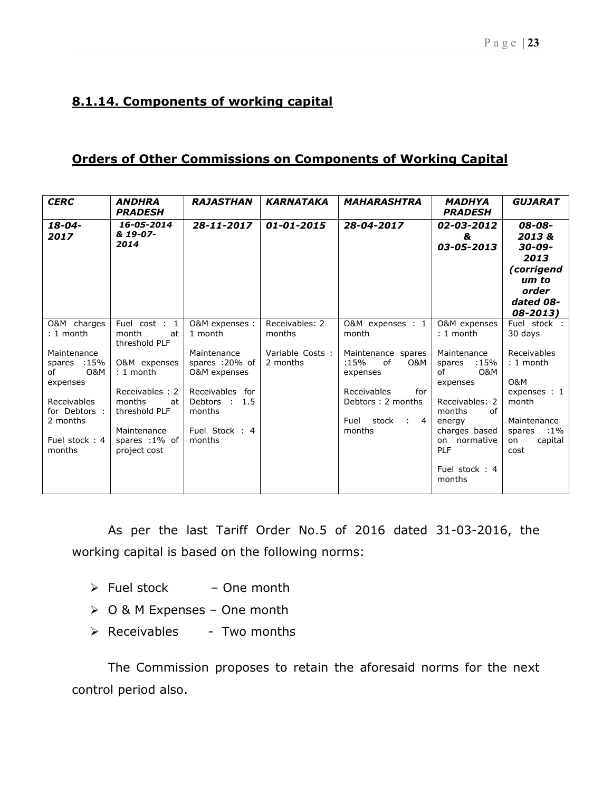# 8.1.14. Components of working capital

## Orders of Other Commissions on Components of Working Capital

| <b>CERC</b>                                         | <b>ANDHRA</b><br><b>PRADESH</b>                 | <b>RAJASTHAN</b>                              | <b>KARNATAKA</b>            | <b>MAHARASHTRA</b>                                        | <b>MADHYA</b><br><b>PRADESH</b>                                        | <b>GUJARAT</b>                                                                                  |
|-----------------------------------------------------|-------------------------------------------------|-----------------------------------------------|-----------------------------|-----------------------------------------------------------|------------------------------------------------------------------------|-------------------------------------------------------------------------------------------------|
| $18 - 04 -$<br>2017                                 | 16-05-2014<br>& 19-07-<br>2014                  | 28-11-2017                                    | $01 - 01 - 2015$            | 28-04-2017                                                | 02-03-2012<br>&<br>03-05-2013                                          | 08-08-<br>2013&<br>$30 - 09 -$<br>2013<br>(corrigend<br>um to<br>order<br>dated 08-<br>08-2013) |
| O&M charges<br>: 1 month                            | Fuel cost : 1<br>month<br>at<br>threshold PLF   | O&M expenses :<br>1 month                     | Receivables: 2<br>months    | O&M expenses : 1<br>month                                 | O&M expenses<br>$: 1$ month                                            | Fuel stock:<br>30 days                                                                          |
| Maintenance<br>spares :15%<br>O&M<br>of<br>expenses | O&M expenses<br>$: 1$ month                     | Maintenance<br>spares :20% of<br>O&M expenses | Variable Costs:<br>2 months | Maintenance spares<br>:15%<br>of<br>0&M<br>expenses       | Maintenance<br>$:15\%$<br>spares<br>of<br>O&M<br>expenses              | Receivables<br>$: 1$ month<br>O&M                                                               |
| <b>Receivables</b><br>for Debtors :<br>2 months     | Receivables: 2<br>months<br>at<br>threshold PLF | Receivables for<br>Debtors :<br>1.5<br>months |                             | Receivables<br>for<br>Debtors: 2 months<br>Fuel stock : 4 | Receivables: 2<br>months<br>of<br>energy                               | expenses : 1<br>month<br>Maintenance                                                            |
| Fuel stock: 4<br>months                             | Maintenance<br>spares :1% of<br>project cost    | Fuel Stock: 4<br>months                       |                             | months                                                    | charges based<br>on normative<br><b>PLF</b><br>Fuel stock: 4<br>months | :1%<br>spares<br>capital<br>on<br>cost                                                          |

As per the last Tariff Order No.5 of 2016 dated 31-03-2016, the working capital is based on the following norms:

- $\triangleright$  Fuel stock One month
- O & M Expenses One month
- $\triangleright$  Receivables Two months

The Commission proposes to retain the aforesaid norms for the next control period also.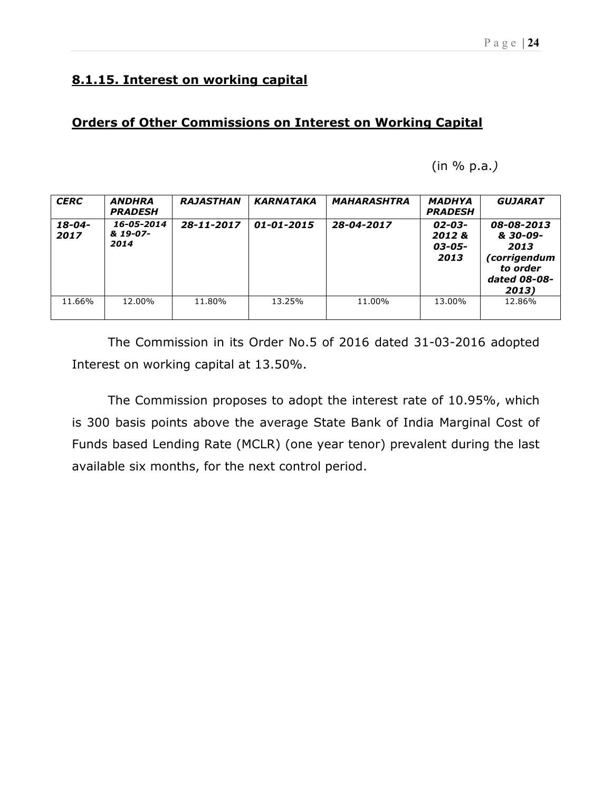## Orders of Other Commissions on Interest on Working Capital

<sup>(</sup>in % p.a.)

| <b>CERC</b>         | <b>ANDHRA</b><br><b>PRADESH</b> | <b>RAJASTHAN</b> | <b>KARNATAKA</b> | <b>MAHARASHTRA</b> | <b>MADHYA</b><br><b>PRADESH</b>   | <b>GUJARAT</b>                                                                      |
|---------------------|---------------------------------|------------------|------------------|--------------------|-----------------------------------|-------------------------------------------------------------------------------------|
| $18 - 04 -$<br>2017 | 16-05-2014<br>& 19-07-<br>2014  | $28 - 11 - 2017$ | 01-01-2015       | 28-04-2017         | 02-03-<br>2012&<br>03-05-<br>2013 | 08-08-2013<br>& 30-09-<br>2013<br>(corrigendum<br>to order<br>dated 08-08-<br>2013) |
| 11.66%              | 12.00%                          | 11.80%           | 13.25%           | 11.00%             | 13.00%                            | 12.86%                                                                              |

The Commission in its Order No.5 of 2016 dated 31-03-2016 adopted Interest on working capital at 13.50%.

The Commission proposes to adopt the interest rate of 10.95%, which is 300 basis points above the average State Bank of India Marginal Cost of Funds based Lending Rate (MCLR) (one year tenor) prevalent during the last available six months, for the next control period.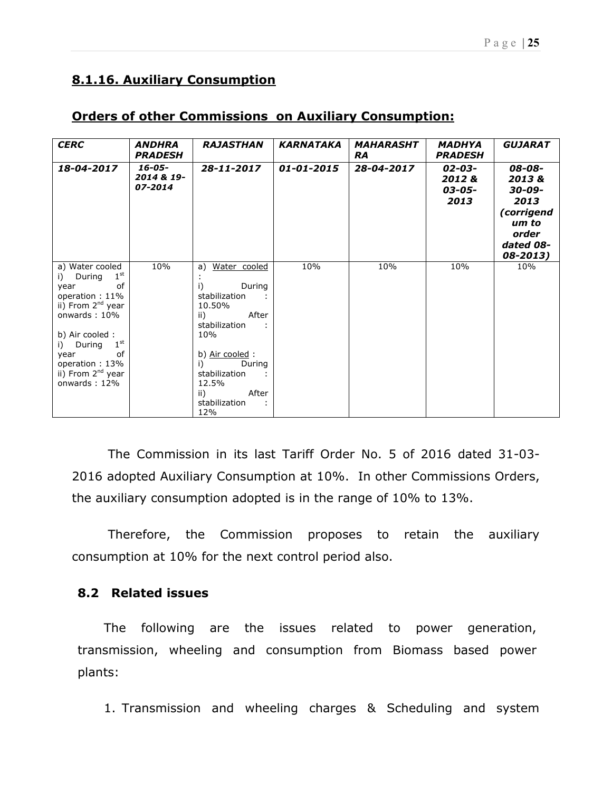# 8.1.16. Auxiliary Consumption

| <b>CERC</b>                                                                                                                                                                                                                                                          | <b>ANDHRA</b><br><b>PRADESH</b>      | <b>RAJASTHAN</b>                                                                                                                                                                                          | <b>KARNATAKA</b> | <b>MAHARASHT</b><br><b>RA</b> | <b>MADHYA</b><br><b>PRADESH</b>        | <b>GUJARAT</b>                                                                             |
|----------------------------------------------------------------------------------------------------------------------------------------------------------------------------------------------------------------------------------------------------------------------|--------------------------------------|-----------------------------------------------------------------------------------------------------------------------------------------------------------------------------------------------------------|------------------|-------------------------------|----------------------------------------|--------------------------------------------------------------------------------------------|
| 18-04-2017                                                                                                                                                                                                                                                           | $16 - 05 -$<br>2014 & 19-<br>07-2014 | 28-11-2017                                                                                                                                                                                                | 01-01-2015       | 28-04-2017                    | $02 - 03 -$<br>2012&<br>03-05-<br>2013 | 08-08-<br>2013&<br>30-09-<br>2013<br>(corrigend<br>um to<br>order<br>dated 08-<br>08-2013) |
| a) Water cooled<br>1 <sup>st</sup><br>During<br>i)<br>of<br>year<br>operation: 11%<br>ii) From 2 <sup>nd</sup> year<br>onwards: 10%<br>b) Air cooled :<br>$1^{\rm st}$<br>i) During<br>of<br>year<br>operation: 13%<br>ii) From 2 <sup>nd</sup> year<br>onwards: 12% | 10%                                  | Water cooled<br>a)<br>i)<br>During<br>stabilization<br>10.50%<br>After<br>ii)<br>stabilization<br>10%<br>b) Air cooled:<br>During<br>i)<br>stabilization<br>12.5%<br>After<br>ii)<br>stabilization<br>12% | 10%              | 10%                           | 10%                                    | 10%                                                                                        |

## Orders of other Commissions on Auxiliary Consumption:

The Commission in its last Tariff Order No. 5 of 2016 dated 31-03- 2016 adopted Auxiliary Consumption at 10%. In other Commissions Orders, the auxiliary consumption adopted is in the range of 10% to 13%.

Therefore, the Commission proposes to retain the auxiliary consumption at 10% for the next control period also.

#### 8.2 Related issues

The following are the issues related to power generation, transmission, wheeling and consumption from Biomass based power plants:

1. Transmission and wheeling charges & Scheduling and system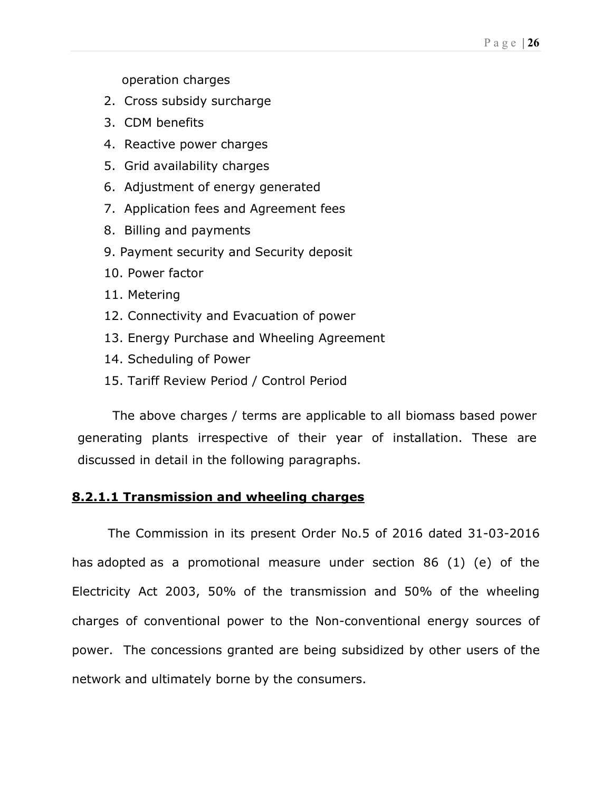operation charges

- 2. Cross subsidy surcharge
- 3. CDM benefits
- 4. Reactive power charges
- 5. Grid availability charges
- 6. Adjustment of energy generated
- 7. Application fees and Agreement fees
- 8. Billing and payments
- 9. Payment security and Security deposit
- 10. Power factor
- 11. Metering
- 12. Connectivity and Evacuation of power
- 13. Energy Purchase and Wheeling Agreement
- 14. Scheduling of Power
- 15. Tariff Review Period / Control Period

The above charges / terms are applicable to all biomass based power generating plants irrespective of their year of installation. These are discussed in detail in the following paragraphs.

#### 8.2.1.1 Transmission and wheeling charges

The Commission in its present Order No.5 of 2016 dated 31-03-2016 has adopted as a promotional measure under section 86 (1) (e) of the Electricity Act 2003, 50% of the transmission and 50% of the wheeling charges of conventional power to the Non-conventional energy sources of power. The concessions granted are being subsidized by other users of the network and ultimately borne by the consumers.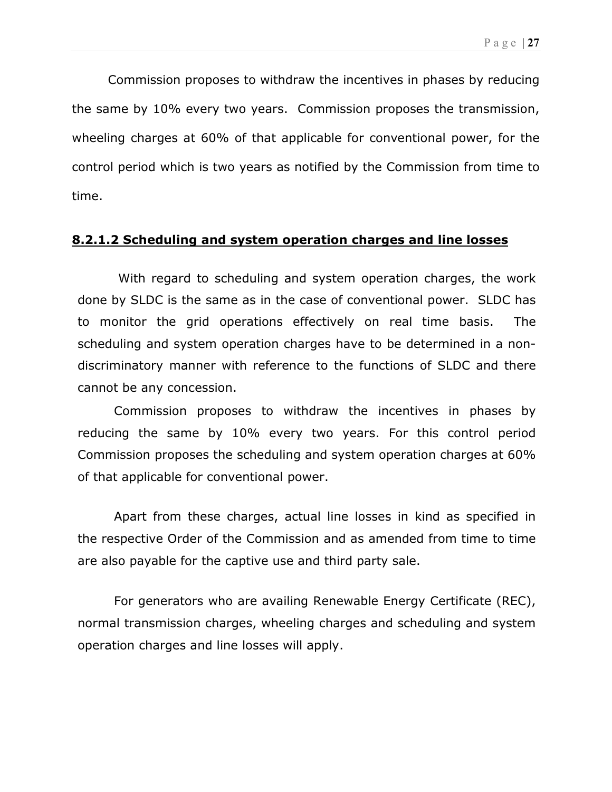Commission proposes to withdraw the incentives in phases by reducing the same by 10% every two years. Commission proposes the transmission, wheeling charges at 60% of that applicable for conventional power, for the control period which is two years as notified by the Commission from time to time.

#### 8.2.1.2 Scheduling and system operation charges and line losses

 With regard to scheduling and system operation charges, the work done by SLDC is the same as in the case of conventional power. SLDC has to monitor the grid operations effectively on real time basis. The scheduling and system operation charges have to be determined in a nondiscriminatory manner with reference to the functions of SLDC and there cannot be any concession.

Commission proposes to withdraw the incentives in phases by reducing the same by 10% every two years. For this control period Commission proposes the scheduling and system operation charges at 60% of that applicable for conventional power.

Apart from these charges, actual line losses in kind as specified in the respective Order of the Commission and as amended from time to time are also payable for the captive use and third party sale.

For generators who are availing Renewable Energy Certificate (REC), normal transmission charges, wheeling charges and scheduling and system operation charges and line losses will apply.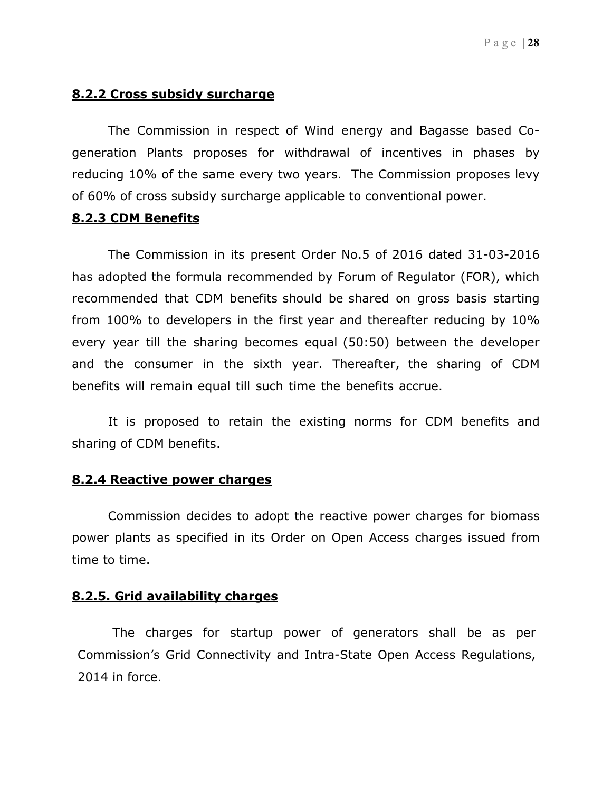## 8.2.2 Cross subsidy surcharge

The Commission in respect of Wind energy and Bagasse based Cogeneration Plants proposes for withdrawal of incentives in phases by reducing 10% of the same every two years. The Commission proposes levy of 60% of cross subsidy surcharge applicable to conventional power.

#### 8.2.3 CDM Benefits

The Commission in its present Order No.5 of 2016 dated 31-03-2016 has adopted the formula recommended by Forum of Regulator (FOR), which recommended that CDM benefits should be shared on gross basis starting from 100% to developers in the first year and thereafter reducing by 10% every year till the sharing becomes equal (50:50) between the developer and the consumer in the sixth year. Thereafter, the sharing of CDM benefits will remain equal till such time the benefits accrue.

It is proposed to retain the existing norms for CDM benefits and sharing of CDM benefits.

#### 8.2.4 Reactive power charges

Commission decides to adopt the reactive power charges for biomass power plants as specified in its Order on Open Access charges issued from time to time.

#### 8.2.5. Grid availability charges

The charges for startup power of generators shall be as per Commission's Grid Connectivity and Intra-State Open Access Regulations, 2014 in force.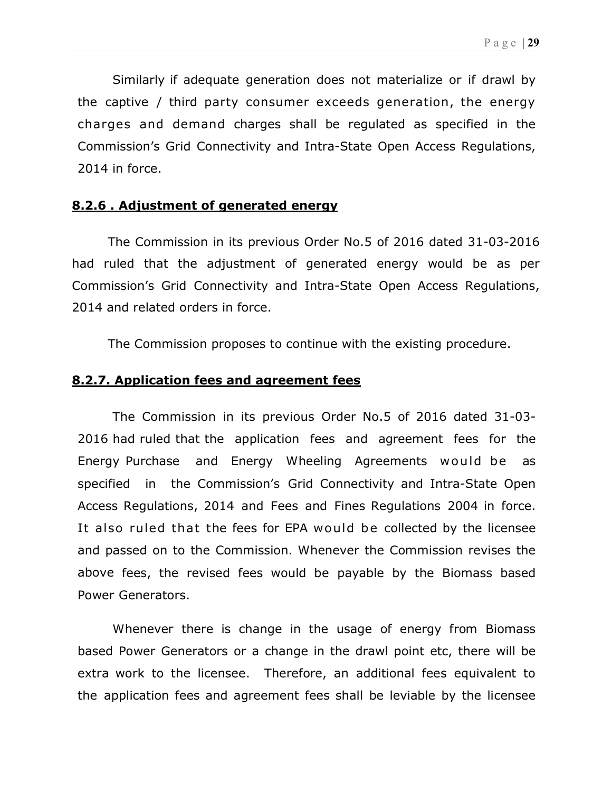Similarly if adequate generation does not materialize or if drawl by the captive / third party consumer exceeds generation, the energy charges and demand charges shall be regulated as specified in the Commission's Grid Connectivity and Intra-State Open Access Regulations, 2014 in force.

#### 8.2.6 . Adjustment of generated energy

The Commission in its previous Order No.5 of 2016 dated 31-03-2016 had ruled that the adjustment of generated energy would be as per Commission's Grid Connectivity and Intra-State Open Access Regulations, 2014 and related orders in force.

The Commission proposes to continue with the existing procedure.

#### 8.2.7. Application fees and agreement fees

The Commission in its previous Order No.5 of 2016 dated 31-03- 2016 had ruled that the application fees and agreement fees for the Energy Purchase and Energy Wheeling Agreements would be as specified in the Commission's Grid Connectivity and Intra-State Open Access Regulations, 2014 and Fees and Fines Regulations 2004 in force. It also ruled that the fees for EPA would be collected by the licensee and passed on to the Commission. Whenever the Commission revises the above fees, the revised fees would be payable by the Biomass based Power Generators.

Whenever there is change in the usage of energy from Biomass based Power Generators or a change in the drawl point etc, there will be extra work to the licensee. Therefore, an additional fees equivalent to the application fees and agreement fees shall be leviable by the licensee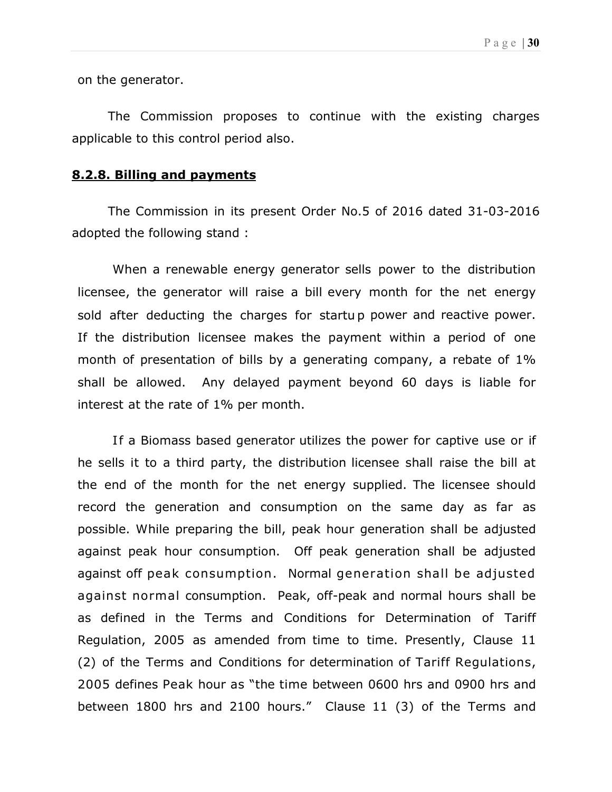on the generator.

The Commission proposes to continue with the existing charges applicable to this control period also.

#### 8.2.8. Billing and payments

The Commission in its present Order No.5 of 2016 dated 31-03-2016 adopted the following stand :

When a renewable energy generator sells power to the distribution licensee, the generator will raise a bill every month for the net energy sold after deducting the charges for startu p power and reactive power. If the distribution licensee makes the payment within a period of one month of presentation of bills by a generating company, a rebate of 1% shall be allowed. Any delayed payment beyond 60 days is liable for interest at the rate of 1% per month.

If a Biomass based generator utilizes the power for captive use or if he sells it to a third party, the distribution licensee shall raise the bill at the end of the month for the net energy supplied. The licensee should record the generation and consumption on the same day as far as possible. While preparing the bill, peak hour generation shall be adjusted against peak hour consumption. Off peak generation shall be adjusted against off peak consumption. Normal generation shall be adjusted against normal consumption. Peak, off-peak and normal hours shall be as defined in the Terms and Conditions for Determination of Tariff Regulation, 2005 as amended from time to time. Presently, Clause 11 (2) of the Terms and Conditions for determination of Tariff Regulations, 2005 defines Peak hour as "the time between 0600 hrs and 0900 hrs and between 1800 hrs and 2100 hours." Clause 11 (3) of the Terms and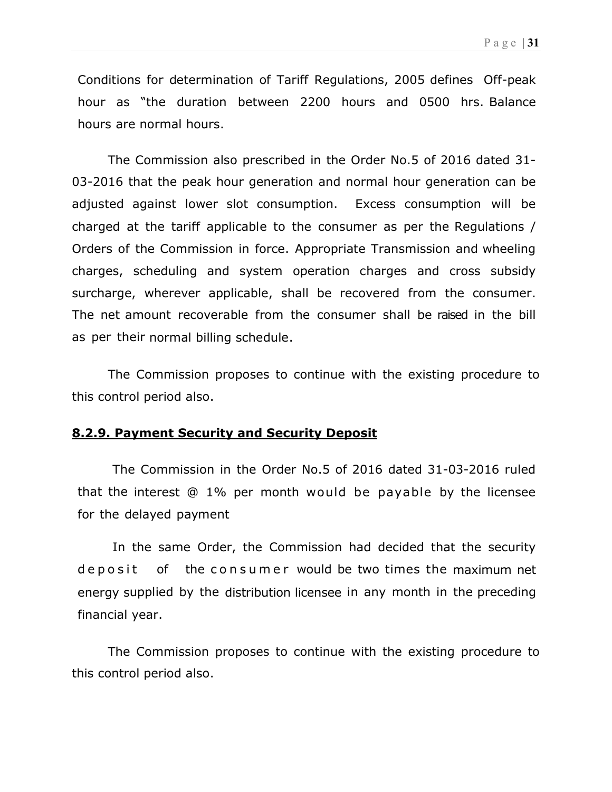Conditions for determination of Tariff Regulations, 2005 defines Off-peak hour as "the duration between 2200 hours and 0500 hrs. Balance hours are normal hours.

The Commission also prescribed in the Order No.5 of 2016 dated 31- 03-2016 that the peak hour generation and normal hour generation can be adjusted against lower slot consumption. Excess consumption will be charged at the tariff applicable to the consumer as per the Regulations / Orders of the Commission in force. Appropriate Transmission and wheeling charges, scheduling and system operation charges and cross subsidy surcharge, wherever applicable, shall be recovered from the consumer. The net amount recoverable from the consumer shall be raised in the bill as per their normal billing schedule.

The Commission proposes to continue with the existing procedure to this control period also.

#### 8.2.9. Payment Security and Security Deposit

The Commission in the Order No.5 of 2016 dated 31-03-2016 ruled that the interest @ 1% per month would be payable by the licensee for the delayed payment

In the same Order, the Commission had decided that the security deposit of the consumer would be two times the maximum net energy supplied by the distribution licensee in any month in the preceding financial year.

The Commission proposes to continue with the existing procedure to this control period also.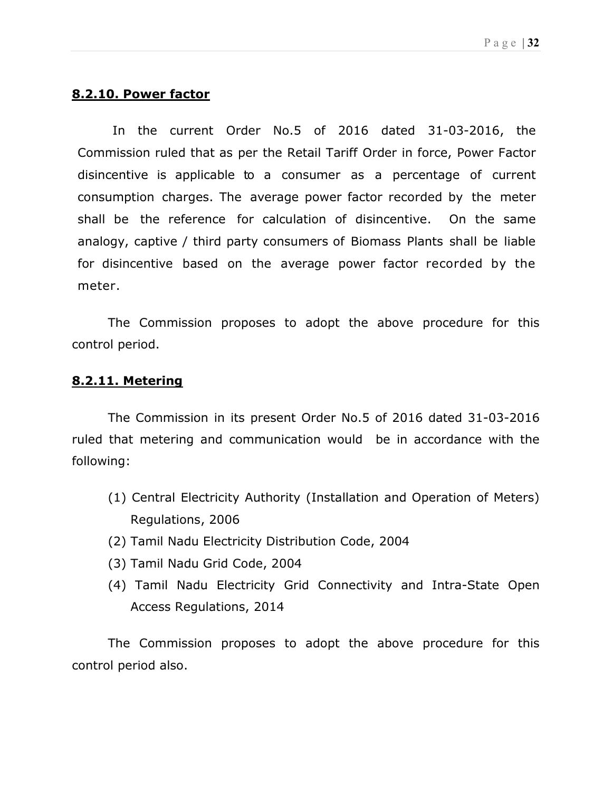## 8.2.10. Power factor

In the current Order No.5 of 2016 dated 31-03-2016, the Commission ruled that as per the Retail Tariff Order in force, Power Factor disincentive is applicable to a consumer as a percentage of current consumption charges. The average power factor recorded by the meter shall be the reference for calculation of disincentive. On the same analogy, captive / third party consumers of Biomass Plants shall be liable for disincentive based on the average power factor recorded by the meter.

The Commission proposes to adopt the above procedure for this control period.

#### 8.2.11. Metering

The Commission in its present Order No.5 of 2016 dated 31-03-2016 ruled that metering and communication would be in accordance with the following:

- (1) Central Electricity Authority (Installation and Operation of Meters) Regulations, 2006
- (2) Tamil Nadu Electricity Distribution Code, 2004
- (3) Tamil Nadu Grid Code, 2004
- (4) Tamil Nadu Electricity Grid Connectivity and Intra-State Open Access Regulations, 2014

The Commission proposes to adopt the above procedure for this control period also.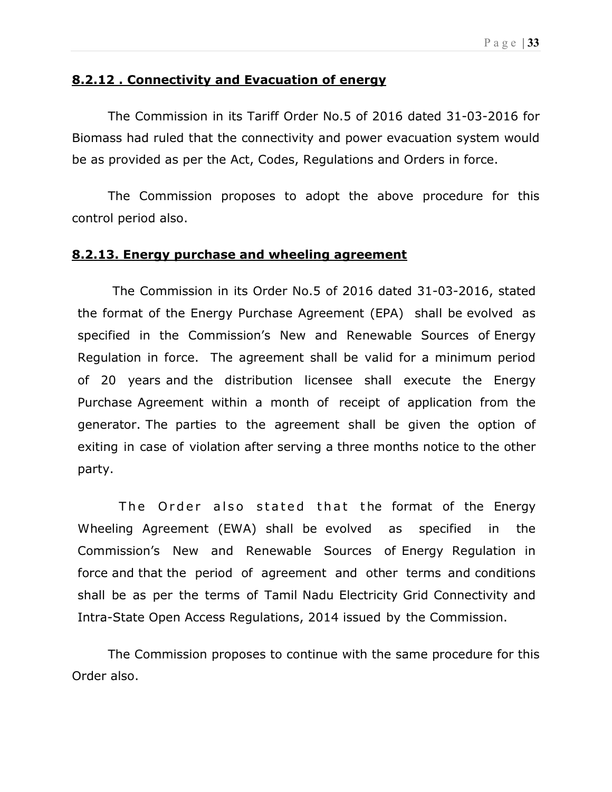## 8.2.12 . Connectivity and Evacuation of energy

The Commission in its Tariff Order No.5 of 2016 dated 31-03-2016 for Biomass had ruled that the connectivity and power evacuation system would be as provided as per the Act, Codes, Regulations and Orders in force.

The Commission proposes to adopt the above procedure for this control period also.

#### 8.2.13. Energy purchase and wheeling agreement

The Commission in its Order No.5 of 2016 dated 31-03-2016, stated the format of the Energy Purchase Agreement (EPA) shall be evolved as specified in the Commission's New and Renewable Sources of Energy Regulation in force. The agreement shall be valid for a minimum period of 20 years and the distribution licensee shall execute the Energy Purchase Agreement within a month of receipt of application from the generator. The parties to the agreement shall be given the option of exiting in case of violation after serving a three months notice to the other party.

The Order also stated that the format of the Energy Wheeling Agreement (EWA) shall be evolved as specified in the Commission's New and Renewable Sources of Energy Regulation in force and that the period of agreement and other terms and conditions shall be as per the terms of Tamil Nadu Electricity Grid Connectivity and Intra-State Open Access Regulations, 2014 issued by the Commission.

The Commission proposes to continue with the same procedure for this Order also.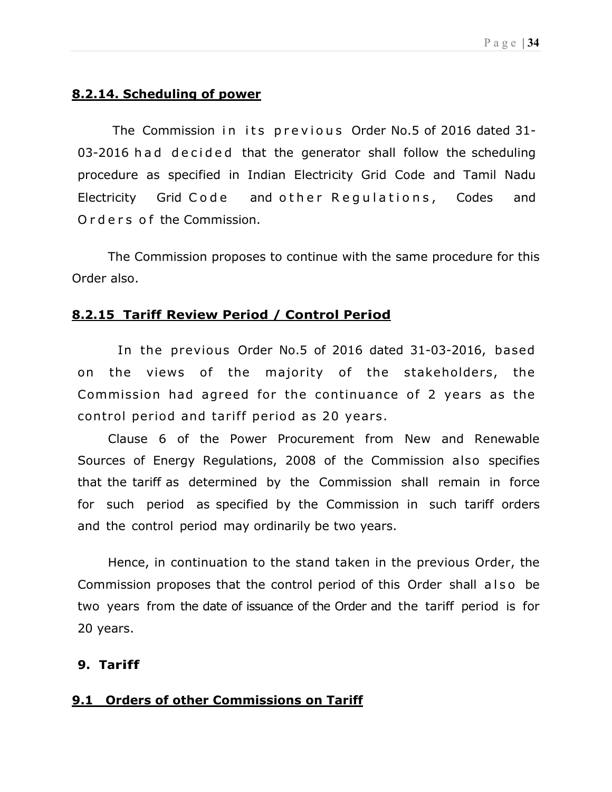## 8.2.14. Scheduling of power

The Commission in its previous Order No.5 of 2016 dated 31-03-2016 had decided that the generator shall follow the scheduling procedure as specified in Indian Electricity Grid Code and Tamil Nadu Electricity Grid Code and other Regulations, Codes and O rd e r s o f the Commission.

The Commission proposes to continue with the same procedure for this Order also.

#### 8.2.15 Tariff Review Period / Control Period

 In the previous Order No.5 of 2016 dated 31-03-2016, based on the views of the majority of the stakeholders, the Commission had agreed for the continuance of 2 years as the control period and tariff period as 20 years.

Clause 6 of the Power Procurement from New and Renewable Sources of Energy Regulations, 2008 of the Commission also specifies that the tariff as determined by the Commission shall remain in force for such period as specified by the Commission in such tariff orders and the control period may ordinarily be two years.

Hence, in continuation to the stand taken in the previous Order, the Commission proposes that the control period of this Order shall also be two years from the date of issuance of the Order and the tariff period is for 20 years.

#### 9. Tariff

#### 9.1 Orders of other Commissions on Tariff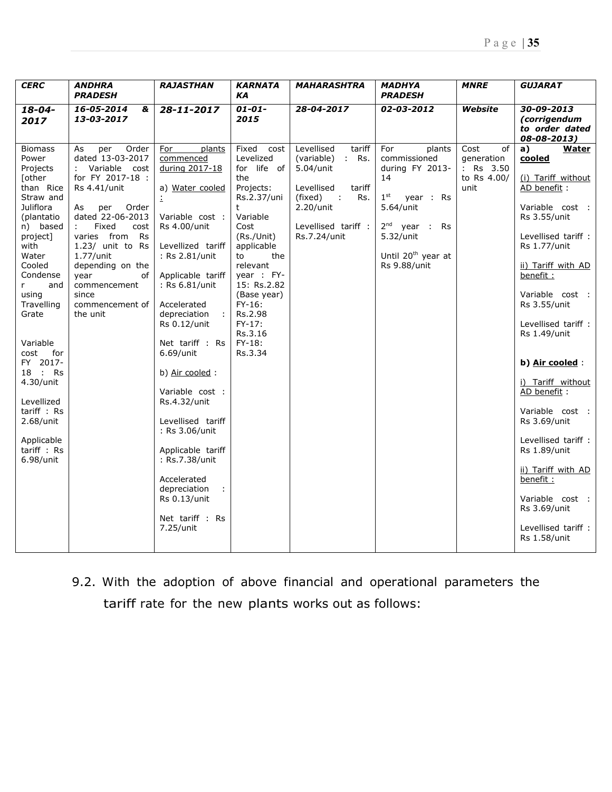| <b>CERC</b>                                                                                                                                                                                                                                                                                                                                                                | <b>ANDHRA</b><br><b>PRADESH</b>                                                                                                                                                                                                                                                                                                   | <b>RAJASTHAN</b>                                                                                                                                                                                                                                                                                                                                                                                                                                                                                         | <b>KARNATA</b><br>ΚA                                                                                                                                                                                                                                                         | <b>MAHARASHTRA</b>                                                                                                                                                       | <b>MADHYA</b><br><b>PRADESH</b>                                                                                                                                                       | <b>MNRE</b>                                                  | <b>GUJARAT</b>                                                                                                                                                                                                                                                                                                                                                                                                                                                                                              |
|----------------------------------------------------------------------------------------------------------------------------------------------------------------------------------------------------------------------------------------------------------------------------------------------------------------------------------------------------------------------------|-----------------------------------------------------------------------------------------------------------------------------------------------------------------------------------------------------------------------------------------------------------------------------------------------------------------------------------|----------------------------------------------------------------------------------------------------------------------------------------------------------------------------------------------------------------------------------------------------------------------------------------------------------------------------------------------------------------------------------------------------------------------------------------------------------------------------------------------------------|------------------------------------------------------------------------------------------------------------------------------------------------------------------------------------------------------------------------------------------------------------------------------|--------------------------------------------------------------------------------------------------------------------------------------------------------------------------|---------------------------------------------------------------------------------------------------------------------------------------------------------------------------------------|--------------------------------------------------------------|-------------------------------------------------------------------------------------------------------------------------------------------------------------------------------------------------------------------------------------------------------------------------------------------------------------------------------------------------------------------------------------------------------------------------------------------------------------------------------------------------------------|
| $18 - 04 -$<br>2017                                                                                                                                                                                                                                                                                                                                                        | 16-05-2014<br>&<br>13-03-2017                                                                                                                                                                                                                                                                                                     | 28-11-2017                                                                                                                                                                                                                                                                                                                                                                                                                                                                                               | $01 - 01 -$<br>2015                                                                                                                                                                                                                                                          | 28-04-2017                                                                                                                                                               | 02-03-2012                                                                                                                                                                            | Website                                                      | 30-09-2013<br><i>(corrigendum</i><br>to order dated<br>08-08-2013)                                                                                                                                                                                                                                                                                                                                                                                                                                          |
| <b>Biomass</b><br>Power<br>Projects<br><b>Tother</b><br>than Rice<br>Straw and<br>Juliflora<br>(plantatio<br>n) based<br>project]<br>with<br>Water<br>Cooled<br>Condense<br>r<br>and<br>using<br>Travelling<br>Grate<br>Variable<br>cost<br>for<br>FY 2017-<br>18 : Rs<br>4.30/unit<br>Levellized<br>tariff : Rs<br>$2.68/$ unit<br>Applicable<br>tariff : Rs<br>6.98/unit | Order<br>As<br>per<br>dated 13-03-2017<br>Variable cost<br>for FY 2017-18 :<br>Rs 4.41/unit<br>Order<br>per<br>As<br>dated 22-06-2013<br>Fixed<br>cost<br>$\ddot{\phantom{a}}$<br>varies from<br>Rs<br>1.23/ unit to Rs<br>$1.77/$ unit<br>depending on the<br>year<br>of<br>commencement<br>since<br>commencement of<br>the unit | For<br>plants<br>commenced<br>during 2017-18<br>a) Water cooled<br>÷<br>Variable cost :<br>Rs 4.00/unit<br>Levellized tariff<br>: Rs 2.81/unit<br>Applicable tariff<br>: Rs 6.81/unit<br>Accelerated<br>depreciation<br>$\sim$<br><b>Rs 0.12/unit</b><br>Net tariff : Rs<br>6.69/unit<br>b) Air cooled :<br>Variable cost :<br>Rs.4.32/unit<br>Levellised tariff<br>: Rs 3.06/unit<br>Applicable tariff<br>: Rs.7.38/unit<br>Accelerated<br>depreciation<br>Rs 0.13/unit<br>Net tariff : Rs<br>7.25/unit | Fixed<br>cost<br>Levelized<br>for life of<br>the<br>Projects:<br>Rs.2.37/uni<br>t<br>Variable<br>Cost<br>(Rs./Unit)<br>applicable<br>the<br>to<br>relevant<br>year : FY-<br>15: Rs.2.82<br>(Base year)<br>$FY-16$ :<br>Rs.2.98<br>$FY-17:$<br>Rs.3.16<br>$FY-18:$<br>Rs.3.34 | Levellised<br>tariff<br>(variable)<br>$:$ Rs.<br>5.04/unit<br>Levellised<br>tariff<br>(fixed)<br>$\sim 10$<br>Rs.<br>$2.20$ /unit<br>Levellised tariff :<br>Rs.7.24/unit | For<br>plants<br>commissioned<br>during FY 2013-<br>14<br>$1^{\rm st}$<br>year : Rs<br>5.64/unit<br>$2^{nd}$ year : Rs<br>5.32/unit<br>Until 20 <sup>th</sup> year at<br>Rs 9.88/unit | Cost<br>of<br>generation<br>: Rs 3.50<br>to Rs 4.00/<br>unit | <b>Water</b><br>a)<br>cooled<br>(i) Tariff without<br>AD benefit:<br>Variable cost :<br>Rs 3.55/unit<br>Levellised tariff :<br><b>Rs 1.77/unit</b><br>ii) Tariff with AD<br>benefit:<br>Variable cost :<br>Rs 3.55/unit<br>Levellised tariff :<br>Rs 1.49/unit<br>b) Air cooled:<br>i) Tariff without<br>AD benefit:<br>Variable cost :<br>Rs 3.69/unit<br>Levellised tariff :<br>Rs 1.89/unit<br>ii) Tariff with AD<br>benefit :<br>Variable cost :<br>Rs 3.69/unit<br>Levellised tariff :<br>Rs 1.58/unit |

9.2. With the adoption of above financial and operational parameters the tariff rate for the new plants works out as follows: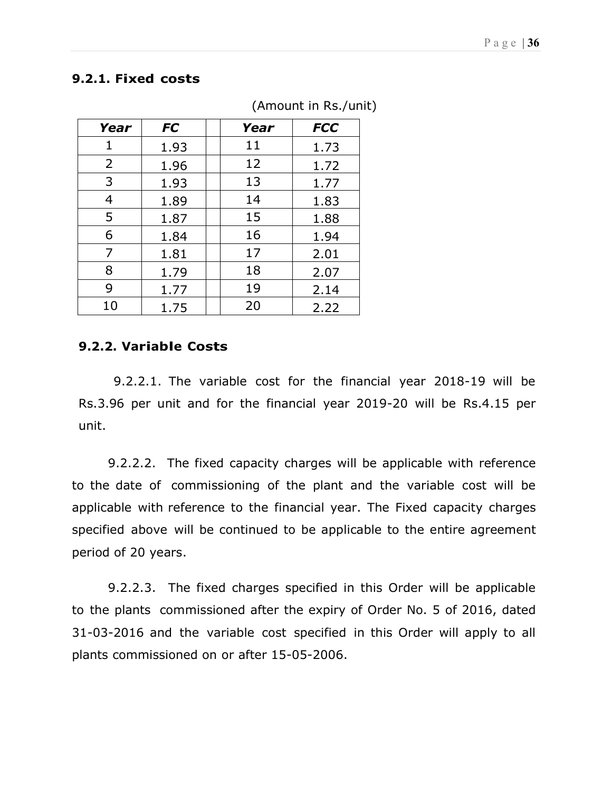## 9.2.1. Fixed costs

| Year           | <b>FC</b> | Year | <b>FCC</b> |
|----------------|-----------|------|------------|
| 1              | 1.93      | 11   | 1.73       |
| $\overline{2}$ | 1.96      | 12   | 1.72       |
| 3              | 1.93      | 13   | 1.77       |
| 4              | 1.89      | 14   | 1.83       |
| 5              | 1.87      | 15   | 1.88       |
| 6              | 1.84      | 16   | 1.94       |
| 7              | 1.81      | 17   | 2.01       |
| 8              | 1.79      | 18   | 2.07       |
| 9              | 1.77      | 19   | 2.14       |
| 10             | 1.75      | 20   | 2.22       |

(Amount in Rs./unit)

#### 9.2.2. Variable Costs

9.2.2.1. The variable cost for the financial year 2018-19 will be Rs.3.96 per unit and for the financial year 2019-20 will be Rs.4.15 per unit.

9.2.2.2. The fixed capacity charges will be applicable with reference to the date of commissioning of the plant and the variable cost will be applicable with reference to the financial year. The Fixed capacity charges specified above will be continued to be applicable to the entire agreement period of 20 years.

9.2.2.3. The fixed charges specified in this Order will be applicable to the plants commissioned after the expiry of Order No. 5 of 2016, dated 31-03-2016 and the variable cost specified in this Order will apply to all plants commissioned on or after 15-05-2006.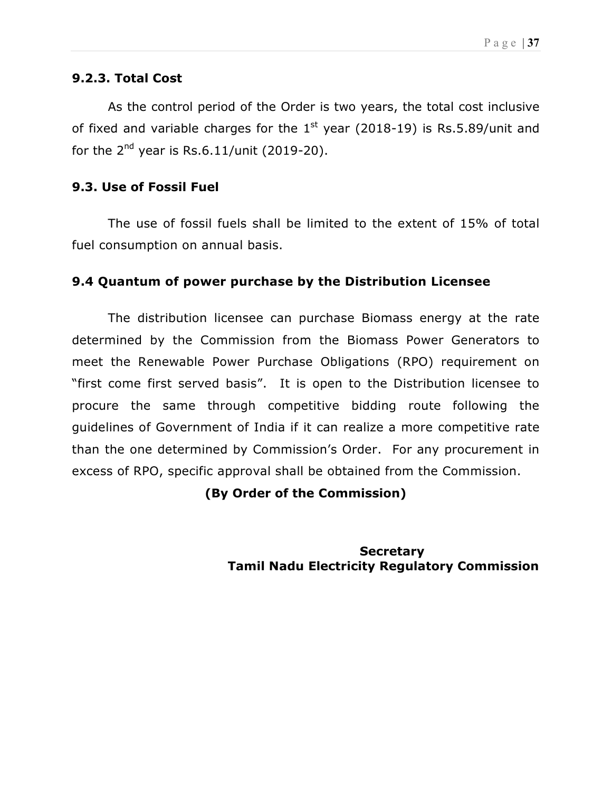#### 9.2.3. Total Cost

As the control period of the Order is two years, the total cost inclusive of fixed and variable charges for the  $1<sup>st</sup>$  year (2018-19) is Rs.5.89/unit and for the  $2^{nd}$  year is Rs.6.11/unit (2019-20).

#### 9.3. Use of Fossil Fuel

The use of fossil fuels shall be limited to the extent of 15% of total fuel consumption on annual basis.

#### 9.4 Quantum of power purchase by the Distribution Licensee

 The distribution licensee can purchase Biomass energy at the rate determined by the Commission from the Biomass Power Generators to meet the Renewable Power Purchase Obligations (RPO) requirement on "first come first served basis". It is open to the Distribution licensee to procure the same through competitive bidding route following the guidelines of Government of India if it can realize a more competitive rate than the one determined by Commission's Order. For any procurement in excess of RPO, specific approval shall be obtained from the Commission.

#### (By Order of the Commission)

**Secretary** Tamil Nadu Electricity Regulatory Commission